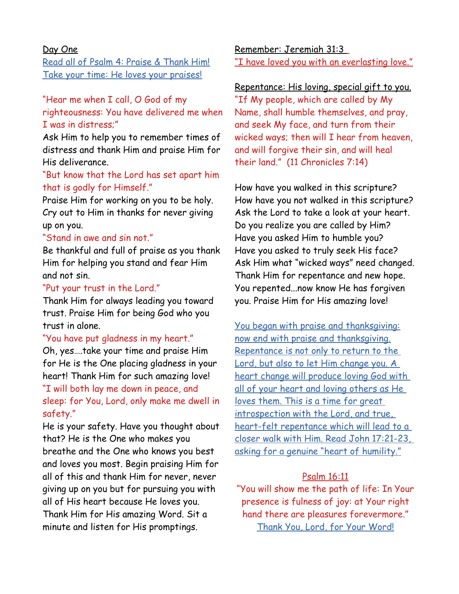### Day One

Read all of Psalm 4: Praise & Thank Him! Take your time: He loves your praises!

# "Hear me when I call, O God of my righteousness: You have delivered me when I was in distress;"

Ask Him to help you to remember times of distress and thank Him and praise Him for His deliverance.

# "But know that the Lord has set apart him that is godly for Himself."

Praise Him for working on you to be holy. Cry out to Him in thanks for never giving up on you.

### "Stand in awe and sin not."

Be thankful and full of praise as you thank Him for helping you stand and fear Him and not sin.

### "Put your trust in the Lord."

Thank Him for always leading you toward trust. Praise Him for being God who you trust in alone.

"You have put gladness in my heart." Oh, yes….take your time and praise Him for He is the One placing gladness in your heart! Thank Him for such amazing love! "I will both lay me down in peace, and sleep: for You, Lord, only make me dwell in safety."

He is your safety. Have you thought about that? He is the One who makes you breathe and the One who knows you best and loves you most. Begin praising Him for all of this and thank Him for never, never giving up on you but for pursuing you with all of His heart because He loves you. Thank Him for His amazing Word. Sit a minute and listen for His promptings.

 Remember: Jeremiah 31:3 "I have loved you with an everlasting love."

### Repentance: His loving, special gift to you.

"If My people, which are called by My Name, shall humble themselves, and pray, and seek My face, and turn from their wicked ways; then will I hear from heaven, and will forgive their sin, and will heal their land." (11 Chronicles 7:14)

How have you walked in this scripture? How have you not walked in this scripture? Ask the Lord to take a look at your heart. Do you realize you are called by Him? Have you asked Him to humble you? Have you asked to truly seek His face? Ask Him what "wicked ways" need changed. Thank Him for repentance and new hope. You repented...now know He has forgiven you. Praise Him for His amazing love!

You began with praise and thanksgiving: now end with praise and thanksgiving. Repentance is not only to return to the Lord, but also to let Him change you. A heart change will produce loving God with all of your heart and loving others as He loves them. This is a time for great introspection with the Lord, and true, heart-felt repentance which will lead to a closer walk with Him. Read John 17:21-23, asking for a genuine "heart of humility."

### Psalm 16:11

"You will show me the path of life: In Your presence is fulness of joy: at Your right hand there are pleasures forevermore." Thank You, Lord, for Your Word!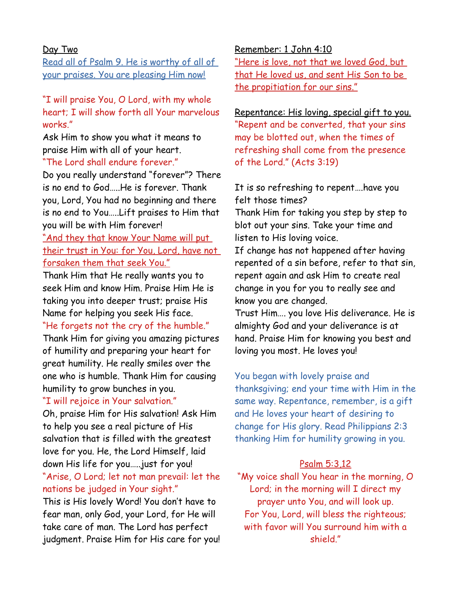#### Day Two

Read all of Psalm 9. He is worthy of all of your praises. You are pleasing Him now!

# "I will praise You, O Lord, with my whole heart; I will show forth all Your marvelous works."

Ask Him to show you what it means to praise Him with all of your heart. "The Lord shall endure forever."

Do you really understand "forever"? There is no end to God…..He is forever. Thank you, Lord, You had no beginning and there is no end to You…..Lift praises to Him that you will be with Him forever!

"And they that know Your Name will put their trust in You: for You, Lord, have not forsaken them that seek You."

Thank Him that He really wants you to seek Him and know Him. Praise Him He is taking you into deeper trust; praise His Name for helping you seek His face.

### "He forgets not the cry of the humble."

Thank Him for giving you amazing pictures of humility and preparing your heart for great humility. He really smiles over the one who is humble. Thank Him for causing humility to grow bunches in you.

### "I will rejoice in Your salvation."

Oh, praise Him for His salvation! Ask Him to help you see a real picture of His salvation that is filled with the greatest love for you. He, the Lord Himself, laid down His life for you…..just for you! "Arise, O Lord; let not man prevail: let the nations be judged in Your sight."

This is His lovely Word! You don't have to fear man, only God, your Lord, for He will take care of man. The Lord has perfect judgment. Praise Him for His care for you!

#### Remember: 1 John 4:10

"Here is love, not that we loved God, but that He loved us, and sent His Son to be the propitiation for our sins."

Repentance: His loving, special gift to you. "Repent and be converted, that your sins may be blotted out, when the times of refreshing shall come from the presence of the Lord." (Acts 3:19)

# It is so refreshing to repent….have you felt those times?

Thank Him for taking you step by step to blot out your sins. Take your time and listen to His loving voice.

If change has not happened after having repented of a sin before, refer to that sin, repent again and ask Him to create real change in you for you to really see and know you are changed.

Trust Him…. you love His deliverance. He is almighty God and your deliverance is at hand. Praise Him for knowing you best and loving you most. He loves you!

You began with lovely praise and thanksgiving; end your time with Him in the same way. Repentance, remember, is a gift and He loves your heart of desiring to change for His glory. Read Philippians 2:3 thanking Him for humility growing in you.

### Psalm 5:3,12

"My voice shall You hear in the morning, O Lord; in the morning will I direct my prayer unto You, and will look up. For You, Lord, will bless the righteous; with favor will You surround him with a shield."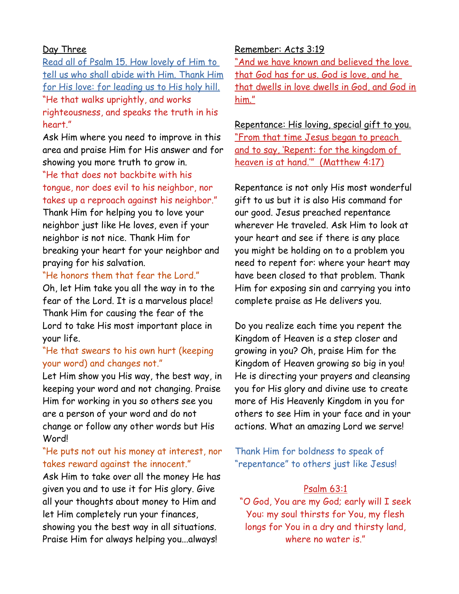### Day Three

Read all of Psalm 15. How lovely of Him to tell us who shall abide with Him. Thank Him for His love: for leading us to His holy hill. "He that walks uprightly, and works righteousness, and speaks the truth in his heart."

Ask Him where you need to improve in this area and praise Him for His answer and for showing you more truth to grow in.

"He that does not backbite with his tongue, nor does evil to his neighbor, nor takes up a reproach against his neighbor."

Thank Him for helping you to love your neighbor just like He loves, even if your neighbor is not nice. Thank Him for breaking your heart for your neighbor and praying for his salvation.

"He honors them that fear the Lord."

Oh, let Him take you all the way in to the fear of the Lord. It is a marvelous place! Thank Him for causing the fear of the Lord to take His most important place in your life.

# "He that swears to his own hurt (keeping your word) and changes not."

Let Him show you His way, the best way, in keeping your word and not changing. Praise Him for working in you so others see you are a person of your word and do not change or follow any other words but His Word!

### "He puts not out his money at interest, nor takes reward against the innocent."

Ask Him to take over all the money He has given you and to use it for His glory. Give all your thoughts about money to Him and let Him completely run your finances, showing you the best way in all situations. Praise Him for always helping you...always!

### Remember: Acts 3:19

"And we have known and believed the love that God has for us. God is love, and he that dwells in love dwells in God, and God in him."

Repentance: His loving, special gift to you. "From that time Jesus began to preach and to say, 'Repent: for the kingdom of heaven is at hand.'" (Matthew 4:17)

Repentance is not only His most wonderful gift to us but it is also His command for our good. Jesus preached repentance wherever He traveled. Ask Him to look at your heart and see if there is any place you might be holding on to a problem you need to repent for: where your heart may have been closed to that problem. Thank Him for exposing sin and carrying you into complete praise as He delivers you.

Do you realize each time you repent the Kingdom of Heaven is a step closer and growing in you? Oh, praise Him for the Kingdom of Heaven growing so big in you! He is directing your prayers and cleansing you for His glory and divine use to create more of His Heavenly Kingdom in you for others to see Him in your face and in your actions. What an amazing Lord we serve!

Thank Him for boldness to speak of "repentance" to others just like Jesus!

### Psalm 63:1

"O God, You are my God; early will I seek You: my soul thirsts for You, my flesh longs for You in a dry and thirsty land, where no water is"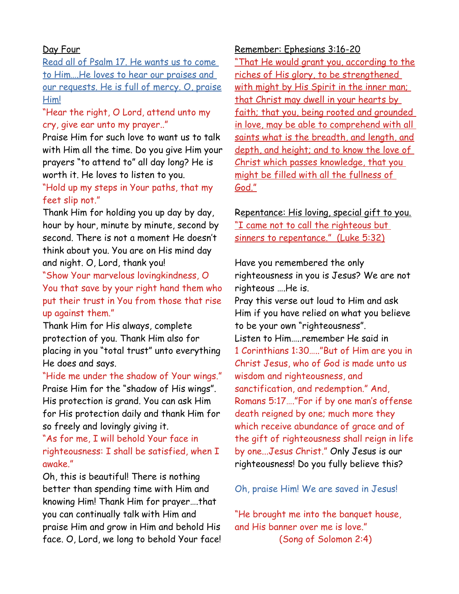### Day Four

Read all of Psalm 17. He wants us to come to Him….He loves to hear our praises and our requests. He is full of mercy. O, praise Him!

# "Hear the right, O Lord, attend unto my cry, give ear unto my prayer.."

Praise Him for such love to want us to talk with Him all the time. Do you give Him your prayers "to attend to" all day long? He is worth it. He loves to listen to you.

# "Hold up my steps in Your paths, that my feet slip not."

Thank Him for holding you up day by day, hour by hour, minute by minute, second by second. There is not a moment He doesn't think about you. You are on His mind day and night. O, Lord, thank you!

"Show Your marvelous lovingkindness, O You that save by your right hand them who put their trust in You from those that rise up against them."

Thank Him for His always, complete protection of you. Thank Him also for placing in you "total trust" unto everything He does and says.

"Hide me under the shadow of Your wings." Praise Him for the "shadow of His wings". His protection is grand. You can ask Him for His protection daily and thank Him for so freely and lovingly giving it.

# "As for me, I will behold Your face in righteousness: I shall be satisfied, when I awake."

Oh, this is beautiful! There is nothing better than spending time with Him and knowing Him! Thank Him for prayer….that you can continually talk with Him and praise Him and grow in Him and behold His face. O, Lord, we long to behold Your face!

#### Remember: Ephesians 3:16-20

"That He would grant you, according to the riches of His glory, to be strengthened with might by His Spirit in the inner man; that Christ may dwell in your hearts by faith; that you, being rooted and grounded in love, may be able to comprehend with all saints what is the breadth, and length, and depth, and height; and to know the love of Christ which passes knowledge, that you might be filled with all the fullness of God."

# Repentance: His loving, special gift to you. "I came not to call the righteous but sinners to repentance." (Luke 5:32)

Have you remembered the only righteousness in you is Jesus? We are not righteous ….He is. Pray this verse out loud to Him and ask Him if you have relied on what you believe to be your own "righteousness". Listen to Him…..remember He said in 1 Corinthians 1:30….."But of Him are you in Christ Jesus, who of God is made unto us wisdom and righteousness, and sanctification, and redemption." And, Romans 5:17…."For if by one man's offense death reigned by one; much more they which receive abundance of grace and of the gift of righteousness shall reign in life by one...Jesus Christ." Only Jesus is our righteousness! Do you fully believe this?

### Oh, praise Him! We are saved in Jesus!

"He brought me into the banquet house, and His banner over me is love." (Song of Solomon 2:4)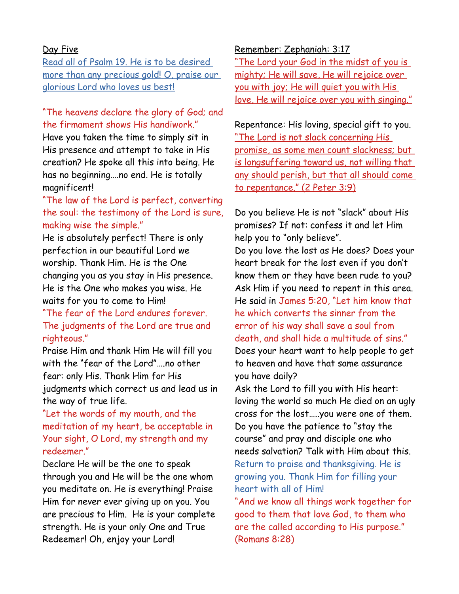### Day Five

Read all of Psalm 19. He is to be desired more than any precious gold! O, praise our glorious Lord who loves us best!

# "The heavens declare the glory of God; and the firmament shows His handiwork."

Have you taken the time to simply sit in His presence and attempt to take in His creation? He spoke all this into being. He has no beginning….no end. He is totally magnificent!

# "The law of the Lord is perfect, converting the soul: the testimony of the Lord is sure, making wise the simple."

He is absolutely perfect! There is only perfection in our beautiful Lord we worship. Thank Him. He is the One changing you as you stay in His presence. He is the One who makes you wise. He waits for you to come to Him!

"The fear of the Lord endures forever. The judgments of the Lord are true and righteous."

Praise Him and thank Him He will fill you with the "fear of the Lord"….no other fear: only His. Thank Him for His judgments which correct us and lead us in the way of true life.

"Let the words of my mouth, and the meditation of my heart, be acceptable in Your sight, O Lord, my strength and my redeemer."

Declare He will be the one to speak through you and He will be the one whom you meditate on. He is everything! Praise Him for never ever giving up on you. You are precious to Him. He is your complete strength. He is your only One and True Redeemer! Oh, enjoy your Lord!

#### Remember: Zephaniah: 3:17

"The Lord your God in the midst of you is mighty; He will save, He will rejoice over you with joy; He will quiet you with His love, He will rejoice over you with singing."

# Repentance: His loving, special gift to you. "The Lord is not slack concerning His promise, as some men count slackness; but is longsuffering toward us, not willing that any should perish, but that all should come to repentance." (2 Peter 3:9)

Do you believe He is not "slack" about His promises? If not: confess it and let Him help you to "only believe". Do you love the lost as He does? Does your heart break for the lost even if you don't know them or they have been rude to you? Ask Him if you need to repent in this area. He said in James 5:20, "Let him know that he which converts the sinner from the error of his way shall save a soul from death, and shall hide a multitude of sins." Does your heart want to help people to get to heaven and have that same assurance you have daily?

Ask the Lord to fill you with His heart: loving the world so much He died on an ugly cross for the lost…..you were one of them. Do you have the patience to "stay the course" and pray and disciple one who needs salvation? Talk with Him about this. Return to praise and thanksgiving. He is growing you. Thank Him for filling your heart with all of Him!

"And we know all things work together for good to them that love God, to them who are the called according to His purpose." (Romans 8:28)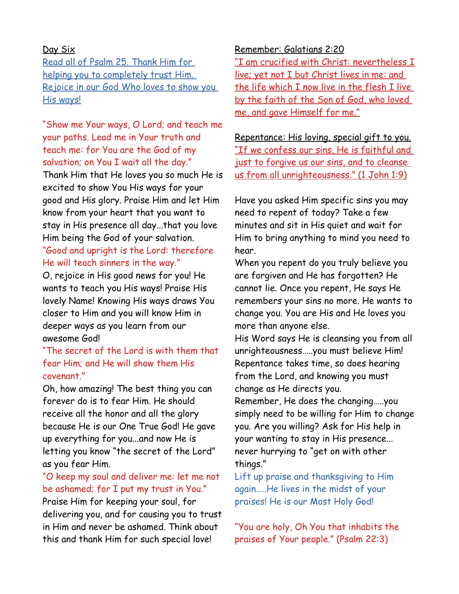### Day Six

Read all of Psalm 25. Thank Him for helping you to completely trust Him. Rejoice in our God Who loves to show you His ways!

"Show me Your ways, O Lord; and teach me your paths. Lead me in Your truth and teach me: for You are the God of my salvation; on You I wait all the day."

Thank Him that He loves you so much He is excited to show You His ways for your good and His glory. Praise Him and let Him know from your heart that you want to stay in His presence all day...that you love Him being the God of your salvation.

### "Good and upright is the Lord: therefore He will teach sinners in the way."

O, rejoice in His good news for you! He wants to teach you His ways! Praise His lovely Name! Knowing His ways draws You closer to Him and you will know Him in deeper ways as you learn from our awesome God!

# "The secret of the Lord is with them that fear Him; and He will show them His covenant."

Oh, how amazing! The best thing you can forever do is to fear Him. He should receive all the honor and all the glory because He is our One True God! He gave up everything for you...and now He is letting you know "the secret of the Lord" as you fear Him.

### "O keep my soul and deliver me: let me not be ashamed; for I put my trust in You."

Praise Him for keeping your soul, for delivering you, and for causing you to trust in Him and never be ashamed. Think about this and thank Him for such special love!

#### Remember: Galatians 2:20

 "I am crucified with Christ: nevertheless I live; yet not I but Christ lives in me: and the life which I now live in the flesh I live by the faith of the Son of God, who loved me, and gave Himself for me."

Repentance: His loving, special gift to you. " If we confess our sins, He is faithful and just to forgive us our sins, and to cleanse us from all unrighteousness." (1 John 1:9)

Have you asked Him specific sins you may need to repent of today? Take a few minutes and sit in His quiet and wait for Him to bring anything to mind you need to hear.

When you repent do you truly believe you are forgiven and He has forgotten? He cannot lie. Once you repent, He says He remembers your sins no more. He wants to change you. You are His and He loves you more than anyone else.

His Word says He is cleansing you from all unrighteousness…..you must believe Him! Repentance takes time, so does hearing from the Lord, and knowing you must change as He directs you.

Remember, He does the changing…..you simply need to be willing for Him to change you. Are you willing? Ask for His help in your wanting to stay in His presence... never hurrying to "get on with other things."

Lift up praise and thanksgiving to Him again…..He lives in the midst of your praises! He is our Most Holy God!

"You are holy, Oh You that inhabits the praises of Your people." (Psalm 22:3)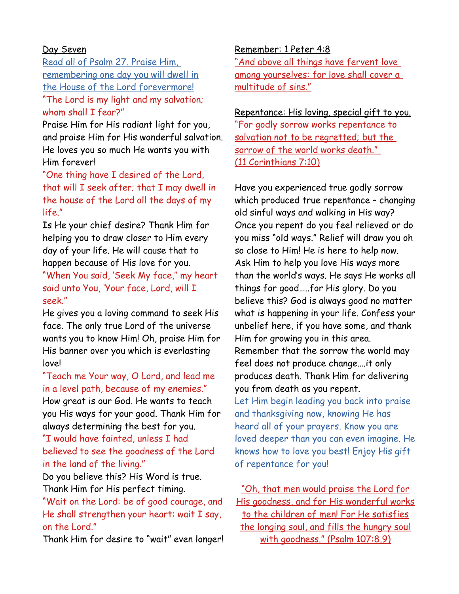### Day Seven

Read all of Psalm 27. Praise Him, remembering one day you will dwell in the House of the Lord forevermore! "The Lord is my light and my salvation; whom shall I fear?"

Praise Him for His radiant light for you, and praise Him for His wonderful salvation. He loves you so much He wants you with Him forever!

"One thing have I desired of the Lord, that will I seek after; that I may dwell in the house of the Lord all the days of my life."

Is He your chief desire? Thank Him for helping you to draw closer to Him every day of your life. He will cause that to happen because of His love for you. "When You said, 'Seek My face,'' my heart said unto You, 'Your face, Lord, will I

seek."

He gives you a loving command to seek His face. The only true Lord of the universe wants you to know Him! Oh, praise Him for His banner over you which is everlasting love!

# "Teach me Your way, O Lord, and lead me in a level path, because of my enemies."

How great is our God. He wants to teach you His ways for your good. Thank Him for always determining the best for you.

"I would have fainted, unless I had believed to see the goodness of the Lord in the land of the living."

Do you believe this? His Word is true. Thank Him for His perfect timing.

"Wait on the Lord: be of good courage, and He shall strengthen your heart: wait I say, on the Lord."

Thank Him for desire to "wait" even longer!

### Remember: 1 Peter 4:8

" And above all things have fervent love among yourselves: for love shall cover a multitude of sins."

Repentance: His loving, special gift to you. "For godly sorrow works repentance to salvation not to be regretted; but the sorrow of the world works death." (11 Corinthians 7:10)

Have you experienced true godly sorrow which produced true repentance – changing old sinful ways and walking in His way? Once you repent do you feel relieved or do you miss "old ways." Relief will draw you oh so close to Him! He is here to help now. Ask Him to help you love His ways more than the world's ways. He says He works all things for good…..for His glory. Do you believe this? God is always good no matter what is happening in your life. Confess your unbelief here, if you have some, and thank Him for growing you in this area. Remember that the sorrow the world may feel does not produce change….it only produces death. Thank Him for delivering you from death as you repent. Let Him begin leading you back into praise and thanksgiving now, knowing He has heard all of your prayers. Know you are loved deeper than you can even imagine. He knows how to love you best! Enjoy His gift of repentance for you!

"Oh, that men would praise the Lord for His goodness, and for His wonderful works to the children of men! For He satisfies the longing soul, and fills the hungry soul with goodness." (Psalm 107:8,9)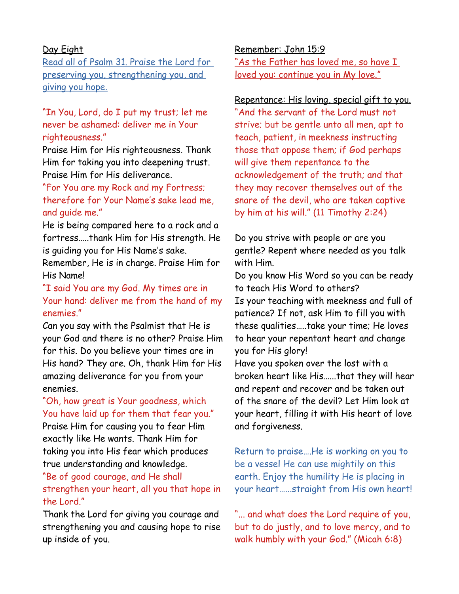### Day Eight

Read all of Psalm 31. Praise the Lord for preserving you, strengthening you, and giving you hope.

"In You, Lord, do I put my trust; let me never be ashamed: deliver me in Your righteousness."

Praise Him for His righteousness. Thank Him for taking you into deepening trust. Praise Him for His deliverance.

"For You are my Rock and my Fortress; therefore for Your Name's sake lead me, and guide me."

He is being compared here to a rock and a fortress…..thank Him for His strength. He is guiding you for His Name's sake.

Remember, He is in charge. Praise Him for His Name!

"I said You are my God. My times are in Your hand: deliver me from the hand of my enemies."

Can you say with the Psalmist that He is your God and there is no other? Praise Him for this. Do you believe your times are in His hand? They are. Oh, thank Him for His amazing deliverance for you from your enemies.

### "Oh, how great is Your goodness, which You have laid up for them that fear you."

Praise Him for causing you to fear Him exactly like He wants. Thank Him for taking you into His fear which produces true understanding and knowledge.

# "Be of good courage, and He shall strengthen your heart, all you that hope in the Lord."

Thank the Lord for giving you courage and strengthening you and causing hope to rise up inside of you.

Remember: John 15:9 " As the Father has loved me, so have I loved you: continue you in My love."

### Repentance: His loving, special gift to you.

"And the servant of the Lord must not strive; but be gentle unto all men, apt to teach, patient, in meekness instructing those that oppose them; if God perhaps will give them repentance to the acknowledgement of the truth; and that they may recover themselves out of the snare of the devil, who are taken captive by him at his will." (11 Timothy 2:24)

Do you strive with people or are you gentle? Repent where needed as you talk with Him.

Do you know His Word so you can be ready to teach His Word to others? Is your teaching with meekness and full of patience? If not, ask Him to fill you with these qualities…..take your time; He loves to hear your repentant heart and change you for His glory!

Have you spoken over the lost with a broken heart like His…...that they will hear and repent and recover and be taken out of the snare of the devil? Let Him look at your heart, filling it with His heart of love and forgiveness.

Return to praise….He is working on you to be a vessel He can use mightily on this earth. Enjoy the humility He is placing in your heart…...straight from His own heart!

"... and what does the Lord require of you, but to do justly, and to love mercy, and to walk humbly with your God." (Micah 6:8)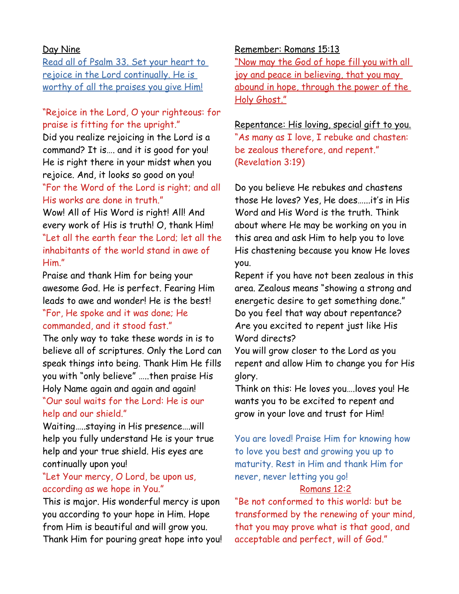### Day Nine

Read all of Psalm 33. Set your heart to rejoice in the Lord continually. He is worthy of all the praises you give Him!

# "Rejoice in the Lord, O your righteous: for praise is fitting for the upright."

Did you realize rejoicing in the Lord is a command? It is…. and it is good for you! He is right there in your midst when you rejoice. And, it looks so good on you! "For the Word of the Lord is right; and all His works are done in truth."

Wow! All of His Word is right! All! And every work of His is truth! O, thank Him! "Let all the earth fear the Lord; let all the inhabitants of the world stand in awe of Him."

Praise and thank Him for being your awesome God. He is perfect. Fearing Him leads to awe and wonder! He is the best! "For, He spoke and it was done; He commanded, and it stood fast."

The only way to take these words in is to believe all of scriptures. Only the Lord can speak things into being. Thank Him He fills you with "only believe" …..then praise His Holy Name again and again and again! "Our soul waits for the Lord: He is our help and our shield."

Waiting…..staying in His presence….will help you fully understand He is your true help and your true shield. His eyes are continually upon you!

# "Let Your mercy, O Lord, be upon us, according as we hope in You."

This is major. His wonderful mercy is upon you according to your hope in Him. Hope from Him is beautiful and will grow you. Thank Him for pouring great hope into you!

#### Remember: Romans 15:13

"Now may the God of hope fill you with all joy and peace in believing, that you may abound in hope, through the power of the Holy Ghost."

Repentance: His loving, special gift to you. "As many as I love, I rebuke and chasten: be zealous therefore, and repent." (Revelation 3:19)

Do you believe He rebukes and chastens those He loves? Yes, He does…...it's in His Word and His Word is the truth. Think about where He may be working on you in this area and ask Him to help you to love His chastening because you know He loves you.

Repent if you have not been zealous in this area. Zealous means "showing a strong and energetic desire to get something done." Do you feel that way about repentance? Are you excited to repent just like His Word directs?

You will grow closer to the Lord as you repent and allow Him to change you for His glory.

Think on this: He loves you….loves you! He wants you to be excited to repent and grow in your love and trust for Him!

You are loved! Praise Him for knowing how to love you best and growing you up to maturity. Rest in Him and thank Him for never, never letting you go!

### Romans 12:2

"Be not conformed to this world: but be transformed by the renewing of your mind, that you may prove what is that good, and acceptable and perfect, will of God."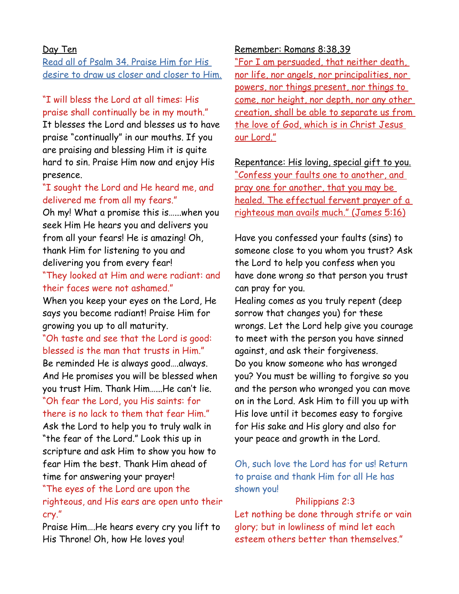#### Day Ten

Read all of Psalm 34. Praise Him for His desire to draw us closer and closer to Him.

# "I will bless the Lord at all times: His praise shall continually be in my mouth."

It blesses the Lord and blesses us to have praise "continually" in our mouths. If you are praising and blessing Him it is quite hard to sin. Praise Him now and enjoy His presence.

# "I sought the Lord and He heard me, and delivered me from all my fears."

Oh my! What a promise this is…...when you seek Him He hears you and delivers you from all your fears! He is amazing! Oh, thank Him for listening to you and delivering you from every fear! "They looked at Him and were radiant: and

# their faces were not ashamed."

When you keep your eyes on the Lord, He says you become radiant! Praise Him for growing you up to all maturity.

"Oh taste and see that the Lord is good: blessed is the man that trusts in Him."

Be reminded He is always good….always. And He promises you will be blessed when you trust Him. Thank Him…...He can't lie. "Oh fear the Lord, you His saints: for

there is no lack to them that fear Him." Ask the Lord to help you to truly walk in

"the fear of the Lord." Look this up in scripture and ask Him to show you how to fear Him the best. Thank Him ahead of time for answering your prayer!

# "The eyes of the Lord are upon the righteous, and His ears are open unto their cry."

Praise Him….He hears every cry you lift to His Throne! Oh, how He loves you!

#### Remember: Romans 8:38,39

"For I am persuaded, that neither death, nor life, nor angels, nor principalities, nor powers, nor things present, nor things to come, nor height, nor depth, nor any other creation, shall be able to separate us from the love of God, which is in Christ Jesus our Lord."

Repentance: His loving, special gift to you. "Confess your faults one to another, and pray one for another, that you may be healed. The effectual fervent prayer of a righteous man avails much." (James 5:16)

Have you confessed your faults (sins) to someone close to you whom you trust? Ask the Lord to help you confess when you have done wrong so that person you trust can pray for you.

Healing comes as you truly repent (deep sorrow that changes you) for these wrongs. Let the Lord help give you courage to meet with the person you have sinned against, and ask their forgiveness. Do you know someone who has wronged you? You must be willing to forgive so you and the person who wronged you can move on in the Lord. Ask Him to fill you up with His love until it becomes easy to forgive for His sake and His glory and also for your peace and growth in the Lord.

# Oh, such love the Lord has for us! Return to praise and thank Him for all He has shown you!

### Philippians 2:3

Let nothing be done through strife or vain glory; but in lowliness of mind let each esteem others better than themselves."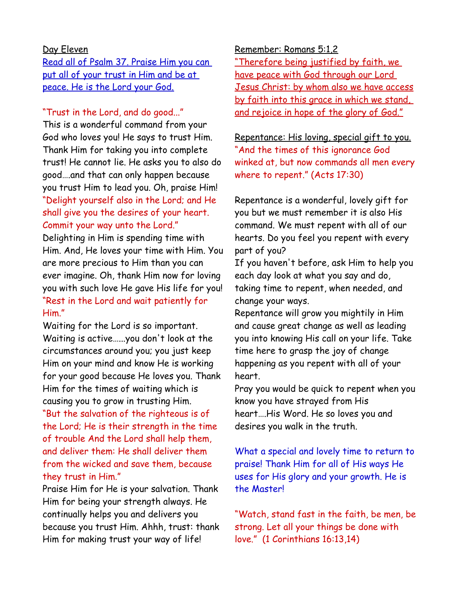### Day Eleven

Read all of Psalm 37. Praise Him you can put all of your trust in Him and be at peace. He is the Lord your God.

### "Trust in the Lord, and do good..."

This is a wonderful command from your God who loves you! He says to trust Him. Thank Him for taking you into complete trust! He cannot lie. He asks you to also do good….and that can only happen because you trust Him to lead you. Oh, praise Him! "Delight yourself also in the Lord; and He shall give you the desires of your heart. Commit your way unto the Lord."

Delighting in Him is spending time with Him. And, He loves your time with Him. You are more precious to Him than you can ever imagine. Oh, thank Him now for loving you with such love He gave His life for you! "Rest in the Lord and wait patiently for Him."

Waiting for the Lord is so important. Waiting is active…...you don't look at the circumstances around you; you just keep Him on your mind and know He is working for your good because He loves you. Thank Him for the times of waiting which is causing you to grow in trusting Him. "But the salvation of the righteous is of the Lord; He is their strength in the time of trouble And the Lord shall help them, and deliver them: He shall deliver them from the wicked and save them, because they trust in Him."

Praise Him for He is your salvation. Thank Him for being your strength always. He continually helps you and delivers you because you trust Him. Ahhh, trust: thank Him for making trust your way of life!

Remember: Romans 5:1,2 "Therefore being justified by faith, we have peace with God through our Lord Jesus Christ: by whom also we have access by faith into this grace in which we stand, and rejoice in hope of the glory of God."

Repentance: His loving, special gift to you. "And the times of this ignorance God winked at, but now commands all men every where to repent." (Acts 17:30)

Repentance is a wonderful, lovely gift for you but we must remember it is also His command. We must repent with all of our hearts. Do you feel you repent with every part of you?

If you haven't before, ask Him to help you each day look at what you say and do, taking time to repent, when needed, and change your ways.

Repentance will grow you mightily in Him and cause great change as well as leading you into knowing His call on your life. Take time here to grasp the joy of change happening as you repent with all of your heart.

Pray you would be quick to repent when you know you have strayed from His heart….His Word. He so loves you and desires you walk in the truth.

What a special and lovely time to return to praise! Thank Him for all of His ways He uses for His glory and your growth. He is the Master!

"Watch, stand fast in the faith, be men, be strong. Let all your things be done with love." (1 Corinthians 16:13,14)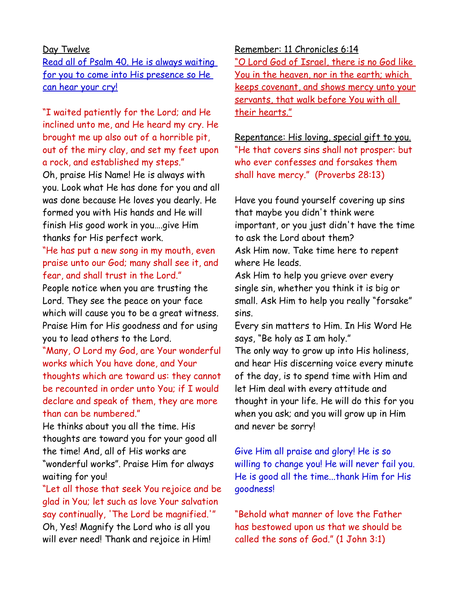#### Day Twelve

Read all of Psalm 40. He is always waiting for you to come into His presence so He can hear your cry!

"I waited patiently for the Lord; and He inclined unto me, and He heard my cry. He brought me up also out of a horrible pit, out of the miry clay, and set my feet upon a rock, and established my steps."

Oh, praise His Name! He is always with you. Look what He has done for you and all was done because He loves you dearly. He formed you with His hands and He will finish His good work in you….give Him thanks for His perfect work.

# "He has put a new song in my mouth, even praise unto our God; many shall see it, and fear, and shall trust in the Lord."

People notice when you are trusting the Lord. They see the peace on your face which will cause you to be a great witness. Praise Him for His goodness and for using you to lead others to the Lord.

"Many, O Lord my God, are Your wonderful works which You have done, and Your thoughts which are toward us: they cannot be recounted in order unto You; if I would declare and speak of them, they are more than can be numbered."

He thinks about you all the time. His thoughts are toward you for your good all the time! And, all of His works are "wonderful works". Praise Him for always waiting for you!

"Let all those that seek You rejoice and be glad in You; let such as love Your salvation say continually, 'The Lord be magnified.'" Oh, Yes! Magnify the Lord who is all you will ever need! Thank and rejoice in Him!

Remember: 11 Chronicles 6:14

"O Lord God of Israel, there is no God like You in the heaven, nor in the earth; which keeps covenant, and shows mercy unto your servants, that walk before You with all their hearts."

Repentance: His loving, special gift to you. "He that covers sins shall not prosper: but who ever confesses and forsakes them shall have mercy." (Proverbs 28:13)

Have you found yourself covering up sins that maybe you didn't think were important, or you just didn't have the time to ask the Lord about them? Ask Him now. Take time here to repent where He leads.

Ask Him to help you grieve over every single sin, whether you think it is big or small. Ask Him to help you really "forsake" sins.

Every sin matters to Him. In His Word He says, "Be holy as I am holy."

The only way to grow up into His holiness, and hear His discerning voice every minute of the day, is to spend time with Him and let Him deal with every attitude and thought in your life. He will do this for you when you ask; and you will grow up in Him and never be sorry!

Give Him all praise and glory! He is so willing to change you! He will never fail you. He is good all the time...thank Him for His goodness!

"Behold what manner of love the Father has bestowed upon us that we should be called the sons of God." (1 John 3:1)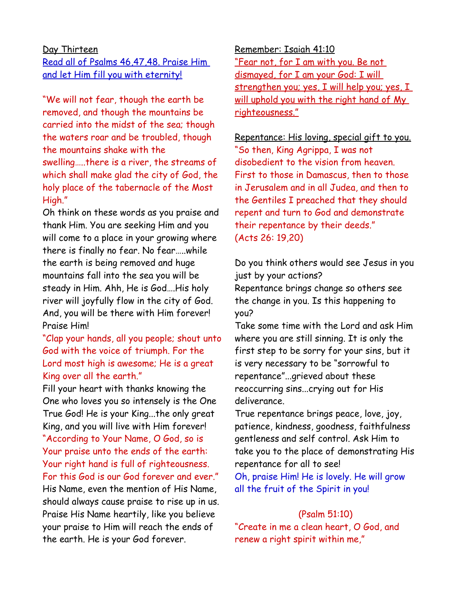### Day Thirteen

Read all of Psalms 46,47,48. Praise Him and let Him fill you with eternity!

"We will not fear, though the earth be removed, and though the mountains be carried into the midst of the sea; though the waters roar and be troubled, though the mountains shake with the swelling…..there is a river, the streams of which shall make glad the city of God, the holy place of the tabernacle of the Most High."

Oh think on these words as you praise and thank Him. You are seeking Him and you will come to a place in your growing where there is finally no fear. No fear…..while the earth is being removed and huge mountains fall into the sea you will be steady in Him. Ahh, He is God….His holy river will joyfully flow in the city of God. And, you will be there with Him forever! Praise Him!

"Clap your hands, all you people; shout unto God with the voice of triumph. For the Lord most high is awesome; He is a great King over all the earth."

Fill your heart with thanks knowing the One who loves you so intensely is the One True God! He is your King...the only great King, and you will live with Him forever! "According to Your Name, O God, so is Your praise unto the ends of the earth: Your right hand is full of righteousness. For this God is our God forever and ever." His Name, even the mention of His Name, should always cause praise to rise up in us. Praise His Name heartily, like you believe your praise to Him will reach the ends of the earth. He is your God forever.

Remember: Isaiah 41:10 "Fear not, for I am with you. Be not dismayed, for I am your God: I will strengthen you; yes, I will help you; yes, I will uphold you with the right hand of My righteousness."

Repentance: His loving, special gift to you. "So then, King Agrippa, I was not disobedient to the vision from heaven. First to those in Damascus, then to those in Jerusalem and in all Judea, and then to the Gentiles I preached that they should repent and turn to God and demonstrate their repentance by their deeds." (Acts 26: 19,20)

Do you think others would see Jesus in you just by your actions?

Repentance brings change so others see the change in you. Is this happening to you?

Take some time with the Lord and ask Him where you are still sinning. It is only the first step to be sorry for your sins, but it is very necessary to be "sorrowful to repentance"...grieved about these reoccurring sins...crying out for His deliverance.

True repentance brings peace, love, joy, patience, kindness, goodness, faithfulness gentleness and self control. Ask Him to take you to the place of demonstrating His repentance for all to see!

Oh, praise Him! He is lovely. He will grow all the fruit of the Spirit in you!

### (Psalm 51:10)

"Create in me a clean heart, O God, and renew a right spirit within me,"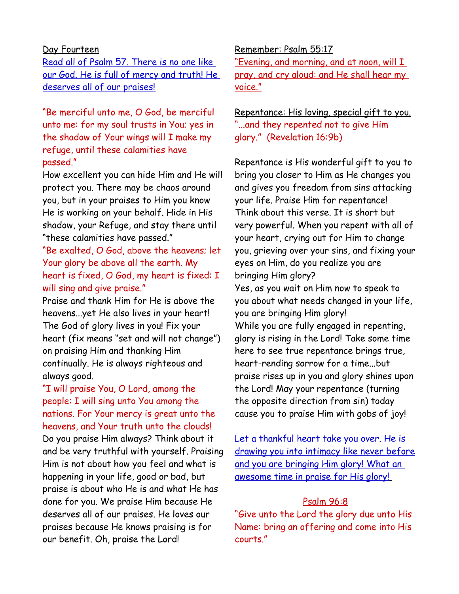#### Day Fourteen

Read all of Psalm 57. There is no one like our God. He is full of mercy and truth! He deserves all of our praises!

"Be merciful unto me, O God, be merciful unto me: for my soul trusts in You; yes in the shadow of Your wings will I make my refuge, until these calamities have passed."

How excellent you can hide Him and He will protect you. There may be chaos around you, but in your praises to Him you know He is working on your behalf. Hide in His shadow, your Refuge, and stay there until "these calamities have passed."

"Be exalted, O God, above the heavens; let Your glory be above all the earth. My heart is fixed, O God, my heart is fixed: I will sing and give praise."

Praise and thank Him for He is above the heavens...yet He also lives in your heart! The God of glory lives in you! Fix your heart (fix means "set and will not change") on praising Him and thanking Him continually. He is always righteous and always good.

# "I will praise You, O Lord, among the people: I will sing unto You among the nations. For Your mercy is great unto the heavens, and Your truth unto the clouds!

Do you praise Him always? Think about it and be very truthful with yourself. Praising Him is not about how you feel and what is happening in your life, good or bad, but praise is about who He is and what He has done for you. We praise Him because He deserves all of our praises. He loves our praises because He knows praising is for our benefit. Oh, praise the Lord!

### Remember: Psalm 55:17

"Evening, and morning, and at noon, will I pray, and cry aloud: and He shall hear my voice."

Repentance: His loving, special gift to you. "...and they repented not to give Him glory." (Revelation 16:9b)

Repentance is His wonderful gift to you to bring you closer to Him as He changes you and gives you freedom from sins attacking your life. Praise Him for repentance! Think about this verse. It is short but very powerful. When you repent with all of your heart, crying out for Him to change you, grieving over your sins, and fixing your eyes on Him, do you realize you are bringing Him glory? Yes, as you wait on Him now to speak to

you about what needs changed in your life, you are bringing Him glory! While you are fully engaged in repenting, glory is rising in the Lord! Take some time here to see true repentance brings true, heart-rending sorrow for a time...but praise rises up in you and glory shines upon the Lord! May your repentance (turning the opposite direction from sin) today cause you to praise Him with gobs of joy!

Let a thankful heart take you over. He is drawing you into intimacy like never before and you are bringing Him glory! What an awesome time in praise for His glory!

#### Psalm 96:8

"Give unto the Lord the glory due unto His Name: bring an offering and come into His courts."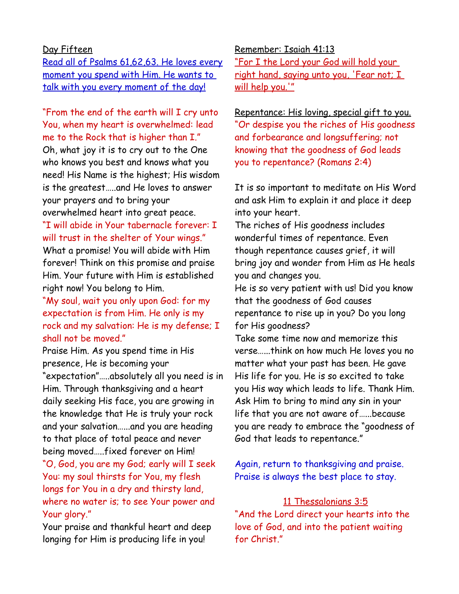# Day Fifteen

Read all of Psalms 61,62,63. He loves every moment you spend with Him. He wants to talk with you every moment of the day!

"From the end of the earth will I cry unto You, when my heart is overwhelmed: lead me to the Rock that is higher than I." Oh, what joy it is to cry out to the One who knows you best and knows what you need! His Name is the highest; His wisdom is the greatest…..and He loves to answer your prayers and to bring your overwhelmed heart into great peace.

# "I will abide in Your tabernacle forever: I will trust in the shelter of Your wings."

What a promise! You will abide with Him forever! Think on this promise and praise Him. Your future with Him is established right now! You belong to Him.

"My soul, wait you only upon God: for my expectation is from Him. He only is my rock and my salvation: He is my defense; I shall not be moved."

Praise Him. As you spend time in His presence, He is becoming your "expectation"…..absolutely all you need is in Him. Through thanksgiving and a heart daily seeking His face, you are growing in the knowledge that He is truly your rock and your salvation…...and you are heading to that place of total peace and never being moved…..fixed forever on Him! "O, God, you are my God; early will I seek You: my soul thirsts for You, my flesh longs for You in a dry and thirsty land,

where no water is; to see Your power and Your glory."

Your praise and thankful heart and deep longing for Him is producing life in you!

#### Remember: Isaiah 41:13

"For I the Lord your God will hold your right hand, saying unto you, 'Fear not; I will help you.'"

Repentance: His loving, special gift to you. "Or despise you the riches of His goodness and forbearance and longsuffering; not knowing that the goodness of God leads you to repentance? (Romans 2:4)

It is so important to meditate on His Word and ask Him to explain it and place it deep into your heart.

The riches of His goodness includes wonderful times of repentance. Even though repentance causes grief, it will bring joy and wonder from Him as He heals you and changes you.

He is so very patient with us! Did you know that the goodness of God causes repentance to rise up in you? Do you long for His goodness?

Take some time now and memorize this verse…...think on how much He loves you no matter what your past has been. He gave His life for you. He is so excited to take you His way which leads to life. Thank Him. Ask Him to bring to mind any sin in your life that you are not aware of…...because you are ready to embrace the "goodness of God that leads to repentance."

Again, return to thanksgiving and praise. Praise is always the best place to stay.

### 11 Thessalonians 3:5

"And the Lord direct your hearts into the love of God, and into the patient waiting for Christ."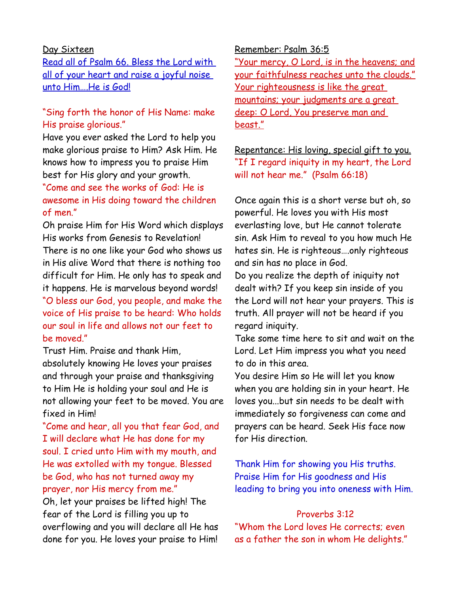#### Day Sixteen

Read all of Psalm 66. Bless the Lord with all of your heart and raise a joyful noise unto Him….He is God!

# "Sing forth the honor of His Name: make His praise glorious."

Have you ever asked the Lord to help you make glorious praise to Him? Ask Him. He knows how to impress you to praise Him best for His glory and your growth. "Come and see the works of God: He is awesome in His doing toward the children

### of men."

Oh praise Him for His Word which displays His works from Genesis to Revelation! There is no one like your God who shows us in His alive Word that there is nothing too difficult for Him. He only has to speak and it happens. He is marvelous beyond words! "O bless our God, you people, and make the voice of His praise to be heard: Who holds our soul in life and allows not our feet to be moved."

Trust Him. Praise and thank Him, absolutely knowing He loves your praises and through your praise and thanksgiving to Him He is holding your soul and He is not allowing your feet to be moved. You are fixed in Him!

"Come and hear, all you that fear God, and I will declare what He has done for my soul. I cried unto Him with my mouth, and He was extolled with my tongue. Blessed be God, who has not turned away my prayer, nor His mercy from me." Oh, let your praises be lifted high! The fear of the Lord is filling you up to overflowing and you will declare all He has done for you. He loves your praise to Him!

#### Remember: Psalm 36:5

"Your mercy, O Lord, is in the heavens; and your faithfulness reaches unto the clouds." Your righteousness is like the great mountains; your judgments are a great deep: O Lord, You preserve man and beast."

# Repentance: His loving, special gift to you. "If I regard iniquity in my heart, the Lord will not hear me." (Psalm 66:18)

Once again this is a short verse but oh, so powerful. He loves you with His most everlasting love, but He cannot tolerate sin. Ask Him to reveal to you how much He hates sin. He is righteous….only righteous and sin has no place in God. Do you realize the depth of iniquity not dealt with? If you keep sin inside of you the Lord will not hear your prayers. This is truth. All prayer will not be heard if you regard iniquity.

Take some time here to sit and wait on the Lord. Let Him impress you what you need to do in this area.

You desire Him so He will let you know when you are holding sin in your heart. He loves you...but sin needs to be dealt with immediately so forgiveness can come and prayers can be heard. Seek His face now for His direction.

Thank Him for showing you His truths. Praise Him for His goodness and His leading to bring you into oneness with Him.

### Proverbs 3:12

"Whom the Lord loves He corrects; even as a father the son in whom He delights."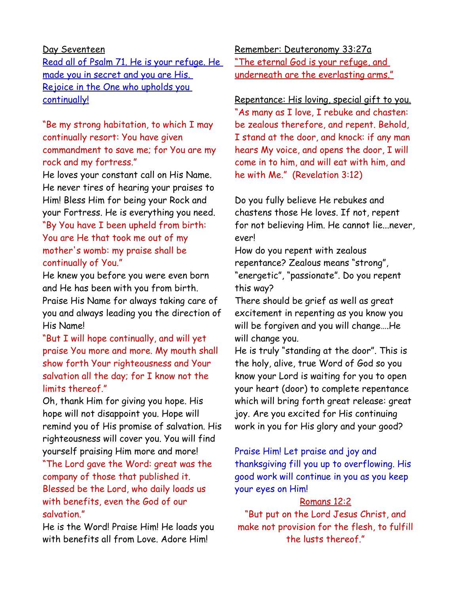### Day Seventeen

Read all of Psalm 71. He is your refuge. He made you in secret and you are His. Rejoice in the One who upholds you continually!

"Be my strong habitation, to which I may continually resort: You have given commandment to save me; for You are my rock and my fortress."

He loves your constant call on His Name. He never tires of hearing your praises to Him! Bless Him for being your Rock and your Fortress. He is everything you need. "By You have I been upheld from birth: You are He that took me out of my mother's womb: my praise shall be continually of You."

He knew you before you were even born and He has been with you from birth. Praise His Name for always taking care of you and always leading you the direction of His Name!

"But I will hope continually, and will yet praise You more and more. My mouth shall show forth Your righteousness and Your salvation all the day; for I know not the limits thereof."

Oh, thank Him for giving you hope. His hope will not disappoint you. Hope will remind you of His promise of salvation. His righteousness will cover you. You will find yourself praising Him more and more!

"The Lord gave the Word: great was the company of those that published it. Blessed be the Lord, who daily loads us with benefits, even the God of our salvation."

He is the Word! Praise Him! He loads you with benefits all from Love. Adore Him!

Remember: Deuteronomy 33:27a "The eternal God is your refuge, and underneath are the everlasting arms."

Repentance: His loving, special gift to you. "As many as I love, I rebuke and chasten: be zealous therefore, and repent. Behold, I stand at the door, and knock: if any man hears My voice, and opens the door, I will come in to him, and will eat with him, and he with Me." (Revelation 3:12)

Do you fully believe He rebukes and chastens those He loves. If not, repent for not believing Him. He cannot lie...never, ever!

How do you repent with zealous repentance? Zealous means "strong", "energetic", "passionate". Do you repent this way?

There should be grief as well as great excitement in repenting as you know you will be forgiven and you will change….He will change you.

He is truly "standing at the door". This is the holy, alive, true Word of God so you know your Lord is waiting for you to open your heart (door) to complete repentance which will bring forth great release: great joy. Are you excited for His continuing work in you for His glory and your good?

Praise Him! Let praise and joy and thanksgiving fill you up to overflowing. His good work will continue in you as you keep your eyes on Him!

### Romans 12:2

"But put on the Lord Jesus Christ, and make not provision for the flesh, to fulfill the lusts thereof."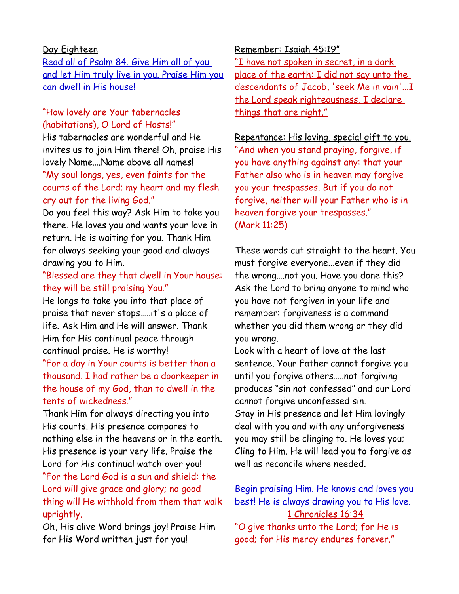### Day Eighteen

Read all of Psalm 84. Give Him all of you and let Him truly live in you. Praise Him you can dwell in His house!

### "How lovely are Your tabernacles (habitations), O Lord of Hosts!"

His tabernacles are wonderful and He invites us to join Him there! Oh, praise His lovely Name….Name above all names! "My soul longs, yes, even faints for the courts of the Lord; my heart and my flesh

cry out for the living God."

Do you feel this way? Ask Him to take you there. He loves you and wants your love in return. He is waiting for you. Thank Him for always seeking your good and always drawing you to Him.

# "Blessed are they that dwell in Your house: they will be still praising You."

He longs to take you into that place of praise that never stops…..it's a place of life. Ask Him and He will answer. Thank Him for His continual peace through continual praise. He is worthy!

"For a day in Your courts is better than a thousand. I had rather be a doorkeeper in the house of my God, than to dwell in the tents of wickedness."

Thank Him for always directing you into His courts. His presence compares to nothing else in the heavens or in the earth. His presence is your very life. Praise the Lord for His continual watch over you! "For the Lord God is a sun and shield: the Lord will give grace and glory; no good thing will He withhold from them that walk uprightly.

Oh, His alive Word brings joy! Praise Him for His Word written just for you!

Remember: Isaiah 45:19" "I have not spoken in secret, in a dark place of the earth: I did not say unto the descendants of Jacob, 'seek Me in vain'... I the Lord speak righteousness, I declare things that are right."

Repentance: His loving, special gift to you. "And when you stand praying, forgive, if you have anything against any: that your Father also who is in heaven may forgive you your trespasses. But if you do not forgive, neither will your Father who is in heaven forgive your trespasses." (Mark 11:25)

These words cut straight to the heart. You must forgive everyone...even if they did the wrong….not you. Have you done this? Ask the Lord to bring anyone to mind who you have not forgiven in your life and remember: forgiveness is a command whether you did them wrong or they did you wrong.

Look with a heart of love at the last sentence. Your Father cannot forgive you until you forgive others…..not forgiving produces "sin not confessed" and our Lord cannot forgive unconfessed sin. Stay in His presence and let Him lovingly deal with you and with any unforgiveness you may still be clinging to. He loves you;

Cling to Him. He will lead you to forgive as well as reconcile where needed.

Begin praising Him. He knows and loves you best! He is always drawing you to His love. 1 Chronicles 16:34

"O give thanks unto the Lord; for He is good; for His mercy endures forever."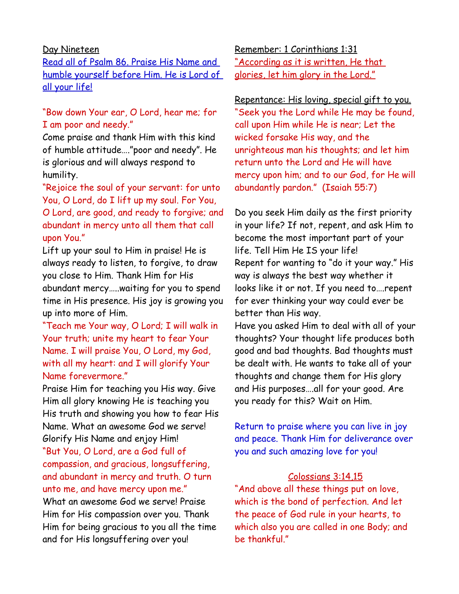#### Day Nineteen

Read all of Psalm 86. Praise His Name and humble yourself before Him. He is Lord of all your life!

# "Bow down Your ear, O Lord, hear me; for I am poor and needy."

Come praise and thank Him with this kind of humble attitude…."poor and needy". He is glorious and will always respond to humility.

"Rejoice the soul of your servant: for unto You, O Lord, do I lift up my soul. For You, O Lord, are good, and ready to forgive; and abundant in mercy unto all them that call upon You."

Lift up your soul to Him in praise! He is always ready to listen, to forgive, to draw you close to Him. Thank Him for His abundant mercy…..waiting for you to spend time in His presence. His joy is growing you up into more of Him.

"Teach me Your way, O Lord; I will walk in Your truth; unite my heart to fear Your Name. I will praise You, O Lord, my God, with all my heart: and I will glorify Your Name forevermore."

Praise Him for teaching you His way. Give Him all glory knowing He is teaching you His truth and showing you how to fear His Name. What an awesome God we serve! Glorify His Name and enjoy Him! "But You, O Lord, are a God full of compassion, and gracious, longsuffering, and abundant in mercy and truth. O turn unto me, and have mercy upon me." What an awesome God we serve! Praise Him for His compassion over you. Thank Him for being gracious to you all the time and for His longsuffering over you!

Remember: 1 Corinthians 1:31 "According as it is written, He that glories, let him glory in the Lord."

Repentance: His loving, special gift to you. "Seek you the Lord while He may be found, call upon Him while He is near; Let the wicked forsake His way, and the unrighteous man his thoughts; and let him return unto the Lord and He will have mercy upon him; and to our God, for He will abundantly pardon." (Isaiah 55:7)

Do you seek Him daily as the first priority in your life? If not, repent, and ask Him to become the most important part of your life. Tell Him He IS your life! Repent for wanting to "do it your way." His way is always the best way whether it looks like it or not. If you need to….repent for ever thinking your way could ever be better than His way.

Have you asked Him to deal with all of your thoughts? Your thought life produces both good and bad thoughts. Bad thoughts must be dealt with. He wants to take all of your thoughts and change them for His glory and His purposes….all for your good. Are you ready for this? Wait on Him.

Return to praise where you can live in joy and peace. Thank Him for deliverance over you and such amazing love for you!

### Colossians 3:14,15

"And above all these things put on love, which is the bond of perfection. And let the peace of God rule in your hearts, to which also you are called in one Body; and be thankful."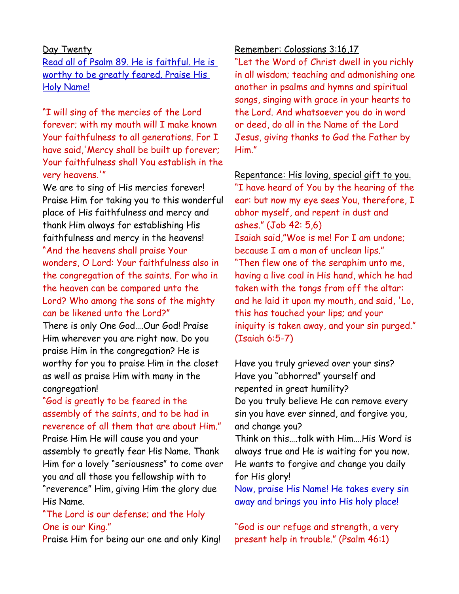#### Day Twenty

Read all of Psalm 89. He is faithful. He is worthy to be greatly feared. Praise His Holy Name!

"I will sing of the mercies of the Lord forever; with my mouth will I make known Your faithfulness to all generations. For I have said,'Mercy shall be built up forever; Your faithfulness shall You establish in the very heavens.'"

We are to sing of His mercies forever! Praise Him for taking you to this wonderful place of His faithfulness and mercy and thank Him always for establishing His faithfulness and mercy in the heavens! "And the heavens shall praise Your wonders, O Lord: Your faithfulness also in the congregation of the saints. For who in the heaven can be compared unto the Lord? Who among the sons of the mighty can be likened unto the Lord?"

There is only One God….Our God! Praise Him wherever you are right now. Do you praise Him in the congregation? He is worthy for you to praise Him in the closet as well as praise Him with many in the congregation!

# "God is greatly to be feared in the assembly of the saints, and to be had in reverence of all them that are about Him."

Praise Him He will cause you and your assembly to greatly fear His Name. Thank Him for a lovely "seriousness" to come over you and all those you fellowship with to "reverence" Him, giving Him the glory due His Name.

### "The Lord is our defense; and the Holy One is our King."

Praise Him for being our one and only King!

### Remember: Colossians 3:16,17

"Let the Word of Christ dwell in you richly in all wisdom; teaching and admonishing one another in psalms and hymns and spiritual songs, singing with grace in your hearts to the Lord. And whatsoever you do in word or deed, do all in the Name of the Lord Jesus, giving thanks to God the Father by Him."

Repentance: His loving, special gift to you. "I have heard of You by the hearing of the ear: but now my eye sees You, therefore, I abhor myself, and repent in dust and ashes." (Job 42: 5,6) Isaiah said,"Woe is me! For I am undone; because I am a man of unclean lips." "Then flew one of the seraphim unto me, having a live coal in His hand, which he had taken with the tongs from off the altar: and he laid it upon my mouth, and said, 'Lo, this has touched your lips; and your iniquity is taken away, and your sin purged." (Isaiah 6:5-7)

Have you truly grieved over your sins? Have you "abhorred" yourself and repented in great humility? Do you truly believe He can remove every sin you have ever sinned, and forgive you, and change you?

Think on this….talk with Him….His Word is always true and He is waiting for you now. He wants to forgive and change you daily for His glory!

Now, praise His Name! He takes every sin away and brings you into His holy place!

"God is our refuge and strength, a very present help in trouble." (Psalm 46:1)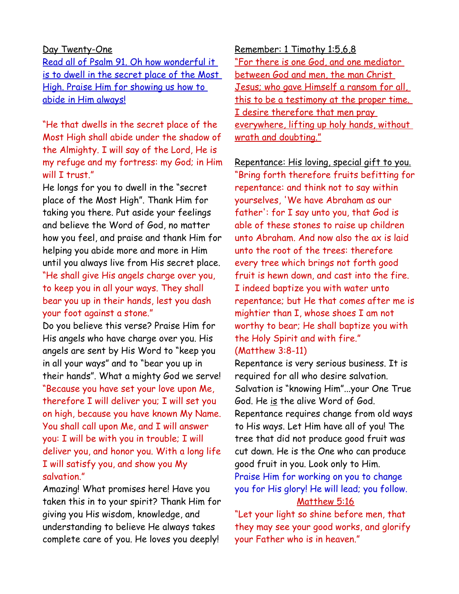#### Day Twenty-One

Read all of Psalm 91. Oh how wonderful it is to dwell in the secret place of the Most High. Praise Him for showing us how to abide in Him always!

"He that dwells in the secret place of the Most High shall abide under the shadow of the Almighty. I will say of the Lord, He is my refuge and my fortress: my God; in Him will I trust."

He longs for you to dwell in the "secret place of the Most High". Thank Him for taking you there. Put aside your feelings and believe the Word of God, no matter how you feel, and praise and thank Him for helping you abide more and more in Him until you always live from His secret place. "He shall give His angels charge over you, to keep you in all your ways. They shall bear you up in their hands, lest you dash your foot against a stone."

Do you believe this verse? Praise Him for His angels who have charge over you. His angels are sent by His Word to "keep you in all your ways" and to "bear you up in their hands". What a mighty God we serve! "Because you have set your love upon Me, therefore I will deliver you; I will set you on high, because you have known My Name. You shall call upon Me, and I will answer you: I will be with you in trouble; I will deliver you, and honor you. With a long life I will satisfy you, and show you My salvation."

Amazing! What promises here! Have you taken this in to your spirit? Thank Him for giving you His wisdom, knowledge, and understanding to believe He always takes complete care of you. He loves you deeply!

Remember: 1 Timothy 1:5,6,8 "For there is one God, and one mediator between God and men, the man Christ Jesus; who gave Himself a ransom for all, this to be a testimony at the proper time. I desire therefore that men pray everywhere, lifting up holy hands, without wrath and doubting."

Repentance: His loving, special gift to you. "Bring forth therefore fruits befitting for repentance: and think not to say within yourselves, 'We have Abraham as our father': for I say unto you, that God is able of these stones to raise up children unto Abraham. And now also the ax is laid unto the root of the trees: therefore every tree which brings not forth good fruit is hewn down, and cast into the fire. I indeed baptize you with water unto repentance; but He that comes after me is mightier than I, whose shoes I am not worthy to bear; He shall baptize you with the Holy Spirit and with fire." (Matthew 3:8-11)

Repentance is very serious business. It is required for all who desire salvation. Salvation is "knowing Him"...your One True God. He is the alive Word of God. Repentance requires change from old ways to His ways. Let Him have all of you! The tree that did not produce good fruit was cut down. He is the One who can produce good fruit in you. Look only to Him. Praise Him for working on you to change you for His glory! He will lead; you follow. Matthew 5:16

"Let your light so shine before men, that they may see your good works, and glorify your Father who is in heaven."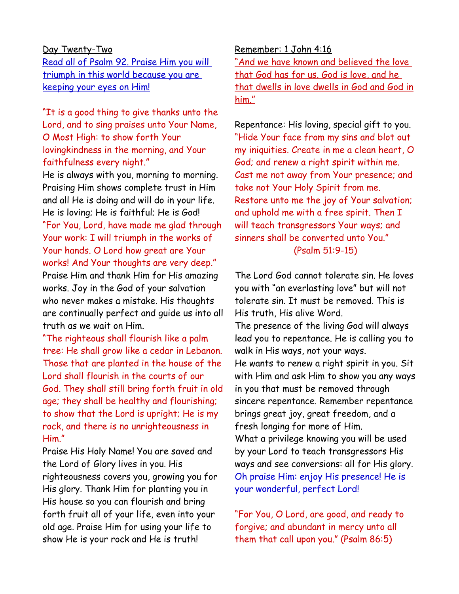#### Day Twenty-Two

 Read all of Psalm 92. Praise Him you will triumph in this world because you are keeping your eyes on Him!

"It is a good thing to give thanks unto the Lord, and to sing praises unto Your Name, O Most High: to show forth Your lovingkindness in the morning, and Your faithfulness every night."

He is always with you, morning to morning. Praising Him shows complete trust in Him and all He is doing and will do in your life. He is loving; He is faithful; He is God! "For You, Lord, have made me glad through Your work: I will triumph in the works of Your hands. O Lord how great are Your works! And Your thoughts are very deep." Praise Him and thank Him for His amazing works. Joy in the God of your salvation who never makes a mistake. His thoughts are continually perfect and guide us into all truth as we wait on Him.

"The righteous shall flourish like a palm tree: He shall grow like a cedar in Lebanon. Those that are planted in the house of the Lord shall flourish in the courts of our God. They shall still bring forth fruit in old age; they shall be healthy and flourishing; to show that the Lord is upright; He is my rock, and there is no unrighteousness in Him."

Praise His Holy Name! You are saved and the Lord of Glory lives in you. His righteousness covers you, growing you for His glory. Thank Him for planting you in His house so you can flourish and bring forth fruit all of your life, even into your old age. Praise Him for using your life to show He is your rock and He is truth!

Remember: 1 John 4:16 "And we have known and believed the love that God has for us. God is love, and he that dwells in love dwells in God and God in him."

Repentance: His loving, special gift to you. "Hide Your face from my sins and blot out my iniquities. Create in me a clean heart, O God; and renew a right spirit within me. Cast me not away from Your presence; and take not Your Holy Spirit from me. Restore unto me the joy of Your salvation; and uphold me with a free spirit. Then I will teach transgressors Your ways; and sinners shall be converted unto You." (Psalm 51:9-15)

The Lord God cannot tolerate sin. He loves you with "an everlasting love" but will not tolerate sin. It must be removed. This is His truth, His alive Word. The presence of the living God will always lead you to repentance. He is calling you to walk in His ways, not your ways. He wants to renew a right spirit in you. Sit with Him and ask Him to show you any ways in you that must be removed through

sincere repentance. Remember repentance brings great joy, great freedom, and a fresh longing for more of Him.

What a privilege knowing you will be used by your Lord to teach transgressors His ways and see conversions: all for His glory. Oh praise Him: enjoy His presence! He is your wonderful, perfect Lord!

"For You, O Lord, are good, and ready to forgive; and abundant in mercy unto all them that call upon you." (Psalm 86:5)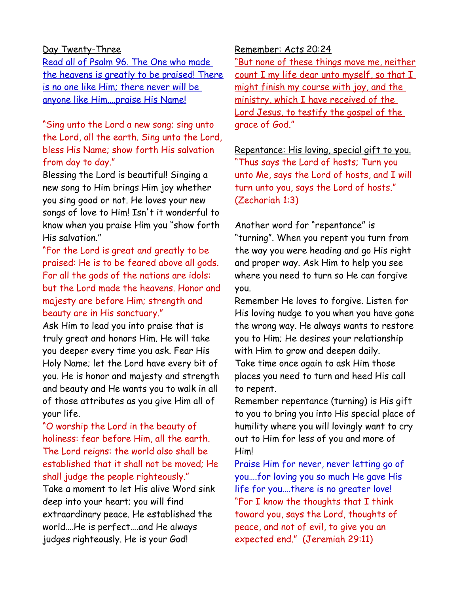### Day Twenty-Three

Read all of Psalm 96. The One who made the heavens is greatly to be praised! There is no one like Him; there never will be anyone like Him….praise His Name!

"Sing unto the Lord a new song; sing unto the Lord, all the earth. Sing unto the Lord, bless His Name; show forth His salvation from day to day."

Blessing the Lord is beautiful! Singing a new song to Him brings Him joy whether you sing good or not. He loves your new songs of love to Him! Isn't it wonderful to know when you praise Him you "show forth His salvation."

"For the Lord is great and greatly to be praised: He is to be feared above all gods. For all the gods of the nations are idols: but the Lord made the heavens. Honor and majesty are before Him; strength and beauty are in His sanctuary."

Ask Him to lead you into praise that is truly great and honors Him. He will take you deeper every time you ask. Fear His Holy Name; let the Lord have every bit of you. He is honor and majesty and strength and beauty and He wants you to walk in all of those attributes as you give Him all of your life.

"O worship the Lord in the beauty of holiness: fear before Him, all the earth. The Lord reigns: the world also shall be established that it shall not be moved; He shall judge the people righteously."

Take a moment to let His alive Word sink deep into your heart; you will find extraordinary peace. He established the world….He is perfect….and He always judges righteously. He is your God!

Remember: Acts 20:24

"But none of these things move me, neither count I my life dear unto myself, so that I might finish my course with joy, and the ministry, which I have received of the Lord Jesus, to testify the gospel of the grace of God."

Repentance: His loving, special gift to you. "Thus says the Lord of hosts; Turn you unto Me, says the Lord of hosts, and I will turn unto you, says the Lord of hosts." (Zechariah 1:3)

Another word for "repentance" is "turning". When you repent you turn from the way you were heading and go His right and proper way. Ask Him to help you see where you need to turn so He can forgive you.

Remember He loves to forgive. Listen for His loving nudge to you when you have gone the wrong way. He always wants to restore you to Him; He desires your relationship with Him to grow and deepen daily. Take time once again to ask Him those places you need to turn and heed His call to repent.

Remember repentance (turning) is His gift to you to bring you into His special place of humility where you will lovingly want to cry out to Him for less of you and more of Him!

Praise Him for never, never letting go of you….for loving you so much He gave His life for you….there is no greater love! "For I know the thoughts that I think toward you, says the Lord, thoughts of peace, and not of evil, to give you an expected end." (Jeremiah 29:11)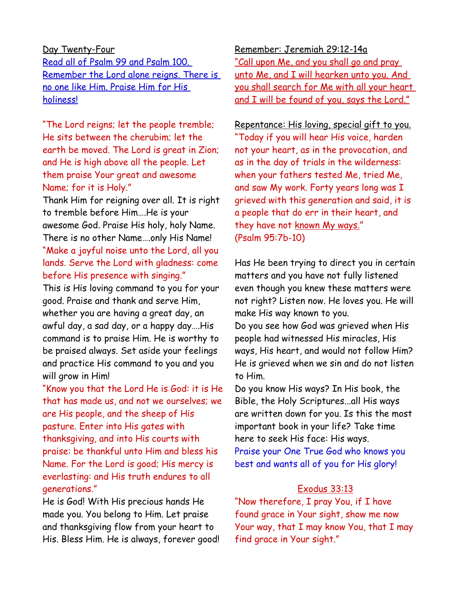# Day Twenty-Four Read all of Psalm 99 and Psalm 100. Remember the Lord alone reigns. There is no one like Him. Praise Him for His holiness!

"The Lord reigns; let the people tremble; He sits between the cherubim; let the earth be moved. The Lord is great in Zion; and He is high above all the people. Let them praise Your great and awesome Name; for it is Holy."

Thank Him for reigning over all. It is right to tremble before Him….He is your awesome God. Praise His holy, holy Name. There is no other Name….only His Name! "Make a joyful noise unto the Lord, all you lands. Serve the Lord with gladness: come before His presence with singing."

This is His loving command to you for your good. Praise and thank and serve Him, whether you are having a great day, an awful day, a sad day, or a happy day….His command is to praise Him. He is worthy to be praised always. Set aside your feelings and practice His command to you and you will grow in Him!

"Know you that the Lord He is God: it is He that has made us, and not we ourselves; we are His people, and the sheep of His pasture. Enter into His gates with thanksgiving, and into His courts with praise: be thankful unto Him and bless his Name. For the Lord is good; His mercy is everlasting: and His truth endures to all generations."

He is God! With His precious hands He made you. You belong to Him. Let praise and thanksgiving flow from your heart to His. Bless Him. He is always, forever good! Remember: Jeremiah 29:12-14a "Call upon Me, and you shall go and pray unto Me, and I will hearken unto you. And you shall search for Me with all your heart and I will be found of you, says the Lord."

Repentance: His loving, special gift to you. "Today if you will hear His voice, harden not your heart, as in the provocation, and as in the day of trials in the wilderness: when your fathers tested Me, tried Me, and saw My work. Forty years long was I grieved with this generation and said, it is a people that do err in their heart, and they have not known My ways." (Psalm 95:7b-10)

Has He been trying to direct you in certain matters and you have not fully listened even though you knew these matters were not right? Listen now. He loves you. He will make His way known to you.

Do you see how God was grieved when His people had witnessed His miracles, His ways, His heart, and would not follow Him? He is grieved when we sin and do not listen to Him.

Do you know His ways? In His book, the Bible, the Holy Scriptures...all His ways are written down for you. Is this the most important book in your life? Take time here to seek His face: His ways. Praise your One True God who knows you best and wants all of you for His glory!

### Exodus 33:13

"Now therefore, I pray You, if I have found grace in Your sight, show me now Your way, that I may know You, that I may find grace in Your sight."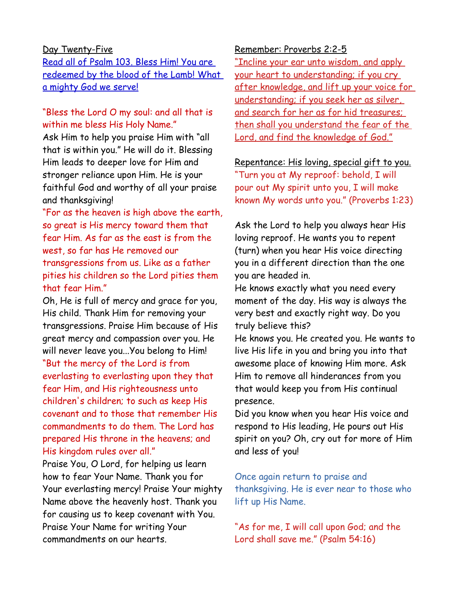#### Day Twenty-Five

Read all of Psalm 103. Bless Him! You are redeemed by the blood of the Lamb! What a mighty God we serve!

# "Bless the Lord O my soul: and all that is within me bless His Holy Name."

Ask Him to help you praise Him with "all that is within you." He will do it. Blessing Him leads to deeper love for Him and stronger reliance upon Him. He is your faithful God and worthy of all your praise and thanksgiving!

"For as the heaven is high above the earth, so great is His mercy toward them that fear Him. As far as the east is from the west, so far has He removed our transgressions from us. Like as a father pities his children so the Lord pities them that fear Him."

Oh, He is full of mercy and grace for you, His child. Thank Him for removing your transgressions. Praise Him because of His great mercy and compassion over you. He will never leave you...You belong to Him! "But the mercy of the Lord is from everlasting to everlasting upon they that fear Him, and His righteousness unto children's children; to such as keep His covenant and to those that remember His commandments to do them. The Lord has prepared His throne in the heavens; and His kingdom rules over all."

Praise You, O Lord, for helping us learn how to fear Your Name. Thank you for Your everlasting mercy! Praise Your mighty Name above the heavenly host. Thank you for causing us to keep covenant with You. Praise Your Name for writing Your commandments on our hearts.

#### Remember: Proverbs 2:2-5

"Incline your ear unto wisdom, and apply your heart to understanding; if you cry after knowledge, and lift up your voice for understanding; if you seek her as silver, and search for her as for hid treasures; then shall you understand the fear of the Lord, and find the knowledge of God."

Repentance: His loving, special gift to you. "Turn you at My reproof: behold, I will pour out My spirit unto you, I will make known My words unto you." (Proverbs 1:23)

Ask the Lord to help you always hear His loving reproof. He wants you to repent (turn) when you hear His voice directing you in a different direction than the one you are headed in.

He knows exactly what you need every moment of the day. His way is always the very best and exactly right way. Do you truly believe this?

He knows you. He created you. He wants to live His life in you and bring you into that awesome place of knowing Him more. Ask Him to remove all hinderances from you that would keep you from His continual presence.

Did you know when you hear His voice and respond to His leading, He pours out His spirit on you? Oh, cry out for more of Him and less of you!

Once again return to praise and thanksgiving. He is ever near to those who lift up His Name.

"As for me, I will call upon God; and the Lord shall save me." (Psalm 54:16)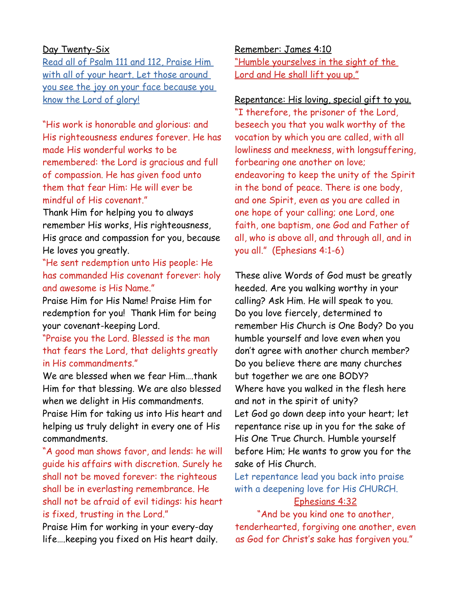### Day Twenty-Six

Read all of Psalm 111 and 112, Praise Him with all of your heart. Let those around you see the joy on your face because you know the Lord of glory!

"His work is honorable and glorious: and His righteousness endures forever. He has made His wonderful works to be remembered: the Lord is gracious and full of compassion. He has given food unto them that fear Him: He will ever be mindful of His covenant."

Thank Him for helping you to always remember His works, His righteousness, His grace and compassion for you, because He loves you greatly.

"He sent redemption unto His people: He has commanded His covenant forever: holy and awesome is His Name."

Praise Him for His Name! Praise Him for redemption for you! Thank Him for being your covenant-keeping Lord.

"Praise you the Lord. Blessed is the man that fears the Lord, that delights greatly in His commandments."

We are blessed when we fear Him….thank Him for that blessing. We are also blessed when we delight in His commandments.

Praise Him for taking us into His heart and helping us truly delight in every one of His commandments.

"A good man shows favor, and lends: he will guide his affairs with discretion. Surely he shall not be moved forever: the righteous shall be in everlasting remembrance. He shall not be afraid of evil tidings: his heart is fixed, trusting in the Lord."

Praise Him for working in your every-day life….keeping you fixed on His heart daily. Remember: James 4:10 "Humble yourselves in the sight of the Lord and He shall lift you up."

Repentance: His loving, special gift to you. "I therefore, the prisoner of the Lord, beseech you that you walk worthy of the vocation by which you are called, with all lowliness and meekness, with longsuffering, forbearing one another on love; endeavoring to keep the unity of the Spirit in the bond of peace. There is one body, and one Spirit, even as you are called in one hope of your calling; one Lord, one faith, one baptism, one God and Father of all, who is above all, and through all, and in you all." (Ephesians 4:1-6)

These alive Words of God must be greatly heeded. Are you walking worthy in your calling? Ask Him. He will speak to you. Do you love fiercely, determined to remember His Church is One Body? Do you humble yourself and love even when you don't agree with another church member? Do you believe there are many churches but together we are one BODY? Where have you walked in the flesh here and not in the spirit of unity? Let God go down deep into your heart; let repentance rise up in you for the sake of His One True Church. Humble yourself before Him; He wants to grow you for the sake of His Church.

Let repentance lead you back into praise with a deepening love for His CHURCH. Ephesians 4:32

"And be you kind one to another, tenderhearted, forgiving one another, even as God for Christ's sake has forgiven you."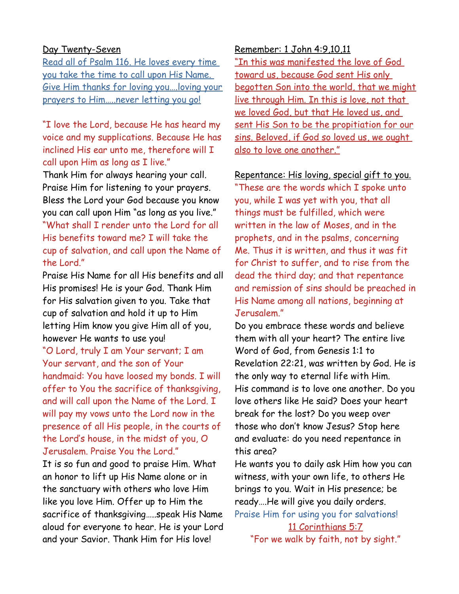#### Day Twenty-Seven

Read all of Psalm 116. He loves every time you take the time to call upon His Name. Give Him thanks for loving you….loving your prayers to Him…..never letting you go!

"I love the Lord, because He has heard my voice and my supplications. Because He has inclined His ear unto me, therefore will I call upon Him as long as I live."

Thank Him for always hearing your call. Praise Him for listening to your prayers. Bless the Lord your God because you know you can call upon Him "as long as you live." "What shall I render unto the Lord for all His benefits toward me? I will take the cup of salvation, and call upon the Name of the Lord."

Praise His Name for all His benefits and all His promises! He is your God. Thank Him for His salvation given to you. Take that cup of salvation and hold it up to Him letting Him know you give Him all of you, however He wants to use you! "O Lord, truly I am Your servant; I am Your servant, and the son of Your handmaid: You have loosed my bonds. I will offer to You the sacrifice of thanksgiving, and will call upon the Name of the Lord. I will pay my vows unto the Lord now in the presence of all His people, in the courts of the Lord's house, in the midst of you, O Jerusalem. Praise You the Lord."

It is so fun and good to praise Him. What an honor to lift up His Name alone or in the sanctuary with others who love Him like you love Him. Offer up to Him the sacrifice of thanksgiving…..speak His Name aloud for everyone to hear. He is your Lord and your Savior. Thank Him for His love!

### Remember: 1 John 4:9,10,11

"In this was manifested the love of God toward us, because God sent His only begotten Son into the world, that we might live through Him. In this is love, not that we loved God, but that He loved us, and sent His Son to be the propitiation for our sins. Beloved, if God so loved us, we ought also to love one another."

Repentance: His loving, special gift to you.

"These are the words which I spoke unto you, while I was yet with you, that all things must be fulfilled, which were written in the law of Moses, and in the prophets, and in the psalms, concerning Me. Thus it is written, and thus it was fit for Christ to suffer, and to rise from the dead the third day; and that repentance and remission of sins should be preached in His Name among all nations, beginning at Jerusalem."

Do you embrace these words and believe them with all your heart? The entire live Word of God, from Genesis 1:1 to Revelation 22:21, was written by God. He is the only way to eternal life with Him. His command is to love one another. Do you love others like He said? Does your heart break for the lost? Do you weep over those who don't know Jesus? Stop here and evaluate: do you need repentance in this area?

He wants you to daily ask Him how you can witness, with your own life, to others He brings to you. Wait in His presence; be ready….He will give you daily orders.

Praise Him for using you for salvations! 11 Corinthians 5:7

"For we walk by faith, not by sight."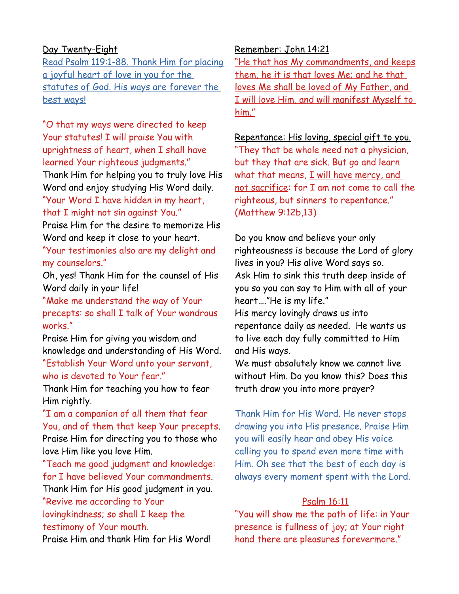### Day Twenty-Eight

Read Psalm 119:1-88. Thank Him for placing a joyful heart of love in you for the statutes of God. His ways are forever the best ways!

"O that my ways were directed to keep Your statutes! I will praise You with uprightness of heart, when I shall have learned Your righteous judgments."

Thank Him for helping you to truly love His Word and enjoy studying His Word daily. "Your Word I have hidden in my heart,

### that I might not sin against You."

Praise Him for the desire to memorize His Word and keep it close to your heart.

"Your testimonies also are my delight and my counselors."

Oh, yes! Thank Him for the counsel of His Word daily in your life!

"Make me understand the way of Your precepts: so shall I talk of Your wondrous works."

Praise Him for giving you wisdom and knowledge and understanding of His Word.

"Establish Your Word unto your servant, who is devoted to Your fear."

Thank Him for teaching you how to fear Him rightly.

"I am a companion of all them that fear You, and of them that keep Your precepts. Praise Him for directing you to those who love Him like you love Him.

"Teach me good judgment and knowledge: for I have believed Your commandments.

Thank Him for His good judgment in you. "Revive me according to Your

lovingkindness; so shall I keep the testimony of Your mouth.

Praise Him and thank Him for His Word!

### Remember: John 14:21

"He that has My commandments, and keeps them, he it is that loves Me; and he that loves Me shall be loved of My Father, and I will love Him, and will manifest Myself to him."

# Repentance: His loving, special gift to you. "They that be whole need not a physician, but they that are sick. But go and learn what that means, I will have mercy, and not sacrifice: for I am not come to call the righteous, but sinners to repentance."

(Matthew 9:12b,13)

Do you know and believe your only righteousness is because the Lord of glory lives in you? His alive Word says so. Ask Him to sink this truth deep inside of you so you can say to Him with all of your heart…."He is my life." His mercy lovingly draws us into repentance daily as needed. He wants us

to live each day fully committed to Him and His ways.

We must absolutely know we cannot live without Him. Do you know this? Does this truth draw you into more prayer?

Thank Him for His Word. He never stops drawing you into His presence. Praise Him you will easily hear and obey His voice calling you to spend even more time with Him. Oh see that the best of each day is always every moment spent with the Lord.

### Psalm 16:11

"You will show me the path of life: in Your presence is fullness of joy; at Your right hand there are pleasures forevermore."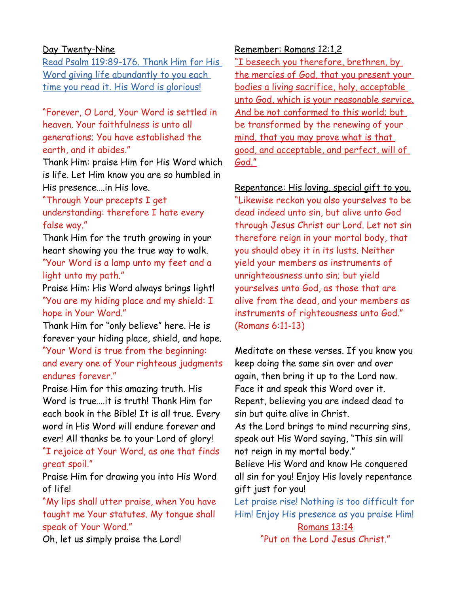### Day Twenty-Nine

Read Psalm 119:89-176. Thank Him for His Word giving life abundantly to you each time you read it. His Word is glorious!

"Forever, O Lord, Your Word is settled in heaven. Your faithfulness is unto all generations; You have established the earth, and it abides."

Thank Him: praise Him for His Word which is life. Let Him know you are so humbled in His presence….in His love.

"Through Your precepts I get understanding: therefore I hate every false way."

Thank Him for the truth growing in your heart showing you the true way to walk. "Your Word is a lamp unto my feet and a light unto my path."

Praise Him: His Word always brings light! "You are my hiding place and my shield: I hope in Your Word."

Thank Him for "only believe" here. He is forever your hiding place, shield, and hope. "Your Word is true from the beginning: and every one of Your righteous judgments endures forever."

Praise Him for this amazing truth. His Word is true….it is truth! Thank Him for each book in the Bible! It is all true. Every word in His Word will endure forever and ever! All thanks be to your Lord of glory! "I rejoice at Your Word, as one that finds great spoil."

Praise Him for drawing you into His Word of life!

"My lips shall utter praise, when You have taught me Your statutes. My tongue shall speak of Your Word."

Oh, let us simply praise the Lord!

### Remember: Romans 12:1,2

"I beseech you therefore, brethren, by the mercies of God, that you present your bodies a living sacrifice, holy, acceptable unto God, which is your reasonable service. And be not conformed to this world; but be transformed by the renewing of your mind, that you may prove what is that good, and acceptable, and perfect, will of God."

Repentance: His loving, special gift to you. "Likewise reckon you also yourselves to be dead indeed unto sin, but alive unto God through Jesus Christ our Lord. Let not sin therefore reign in your mortal body, that you should obey it in its lusts. Neither yield your members as instruments of unrighteousness unto sin; but yield yourselves unto God, as those that are alive from the dead, and your members as instruments of righteousness unto God." (Romans 6:11-13)

Meditate on these verses. If you know you keep doing the same sin over and over again, then bring it up to the Lord now. Face it and speak this Word over it. Repent, believing you are indeed dead to sin but quite alive in Christ.

As the Lord brings to mind recurring sins, speak out His Word saying, "This sin will not reign in my mortal body."

Believe His Word and know He conquered all sin for you! Enjoy His lovely repentance gift just for you!

Let praise rise! Nothing is too difficult for Him! Enjoy His presence as you praise Him! Romans 13:14

"Put on the Lord Jesus Christ."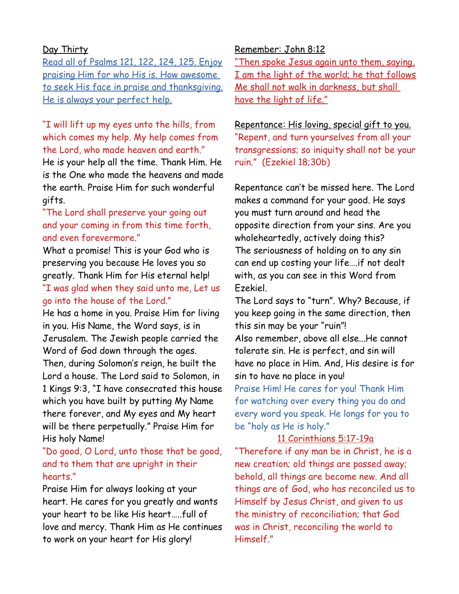### Day Thirty

Read all of Psalms 121, 122, 124, 125. Enjoy praising Him for who His is. How awesome to seek His face in praise and thanksgiving. He is always your perfect help.

# "I will lift up my eyes unto the hills, from which comes my help. My help comes from the Lord, who made heaven and earth."

He is your help all the time. Thank Him. He is the One who made the heavens and made the earth. Praise Him for such wonderful gifts.

"The Lord shall preserve your going out and your coming in from this time forth, and even forevermore."

What a promise! This is your God who is preserving you because He loves you so greatly. Thank Him for His eternal help! "I was glad when they said unto me, Let us go into the house of the Lord."

He has a home in you. Praise Him for living in you. His Name, the Word says, is in Jerusalem. The Jewish people carried the Word of God down through the ages.

Then, during Solomon's reign, he built the Lord a house. The Lord said to Solomon, in 1 Kings 9:3, "I have consecrated this house which you have built by putting My Name there forever, and My eyes and My heart will be there perpetually." Praise Him for His holy Name!

# "Do good, O Lord, unto those that be good, and to them that are upright in their hearts."

Praise Him for always looking at your heart. He cares for you greatly and wants your heart to be like His heart…..full of love and mercy. Thank Him as He continues to work on your heart for His glory!

### Remember: John 8:12

"Then spoke Jesus again unto them, saying, I am the light of the world; he that follows Me shall not walk in darkness, but shall have the light of life."

# Repentance: His loving, special gift to you. "Repent, and turn yourselves from all your transgressions; so iniquity shall not be your ruin." (Ezekiel 18;30b)

Repentance can't be missed here. The Lord makes a command for your good. He says you must turn around and head the opposite direction from your sins. Are you wholeheartedly, actively doing this? The seriousness of holding on to any sin can end up costing your life….if not dealt with, as you can see in this Word from Ezekiel.

The Lord says to "turn". Why? Because, if you keep going in the same direction, then this sin may be your "ruin"! Also remember, above all else...He cannot tolerate sin. He is perfect, and sin will have no place in Him. And, His desire is for sin to have no place in you! Praise Him! He cares for you! Thank Him for watching over every thing you do and every word you speak. He longs for you to be "holy as He is holy."

### 11 Corinthians 5:17-19a

"Therefore if any man be in Christ, he is a new creation; old things are passed away; behold, all things are become new. And all things are of God, who has reconciled us to Himself by Jesus Christ, and given to us the ministry of reconciliation; that God was in Christ, reconciling the world to Himself."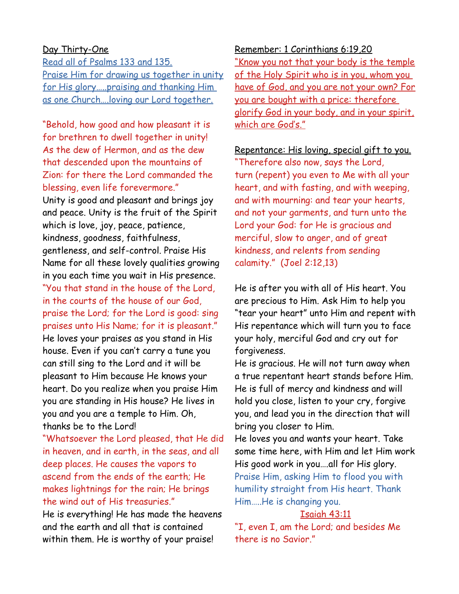#### Day Thirty-One

Read all of Psalms 133 and 135. Praise Him for drawing us together in unity for His glory…..praising and thanking Him as one Church….loving our Lord together.

"Behold, how good and how pleasant it is for brethren to dwell together in unity! As the dew of Hermon, and as the dew that descended upon the mountains of Zion: for there the Lord commanded the blessing, even life forevermore." Unity is good and pleasant and brings joy and peace. Unity is the fruit of the Spirit which is love, joy, peace, patience, kindness, goodness, faithfulness, gentleness, and self-control. Praise His Name for all these lovely qualities growing in you each time you wait in His presence. "You that stand in the house of the Lord, in the courts of the house of our God, praise the Lord; for the Lord is good: sing praises unto His Name; for it is pleasant." He loves your praises as you stand in His house. Even if you can't carry a tune you can still sing to the Lord and it will be pleasant to Him because He knows your heart. Do you realize when you praise Him you are standing in His house? He lives in you and you are a temple to Him. Oh, thanks be to the Lord!

"Whatsoever the Lord pleased, that He did in heaven, and in earth, in the seas, and all deep places. He causes the vapors to ascend from the ends of the earth; He makes lightnings for the rain; He brings the wind out of His treasuries."

He is everything! He has made the heavens and the earth and all that is contained within them. He is worthy of your praise!

Remember: 1 Corinthians 6:19,20 "Know you not that your body is the temple of the Holy Spirit who is in you, whom you have of God, and you are not your own? For you are bought with a price: therefore glorify God in your body, and in your spirit, which are God's."

Repentance: His loving, special gift to you. "Therefore also now, says the Lord, turn (repent) you even to Me with all your heart, and with fasting, and with weeping, and with mourning: and tear your hearts, and not your garments, and turn unto the Lord your God: for He is gracious and merciful, slow to anger, and of great kindness, and relents from sending calamity." (Joel 2:12,13)

He is after you with all of His heart. You are precious to Him. Ask Him to help you "tear your heart" unto Him and repent with His repentance which will turn you to face your holy, merciful God and cry out for forgiveness.

He is gracious. He will not turn away when a true repentant heart stands before Him. He is full of mercy and kindness and will hold you close, listen to your cry, forgive you, and lead you in the direction that will bring you closer to Him.

He loves you and wants your heart. Take some time here, with Him and let Him work His good work in you….all for His glory. Praise Him, asking Him to flood you with humility straight from His heart. Thank Him…..He is changing you.

#### Isaiah 43:11

"I, even I, am the Lord; and besides Me there is no Savior."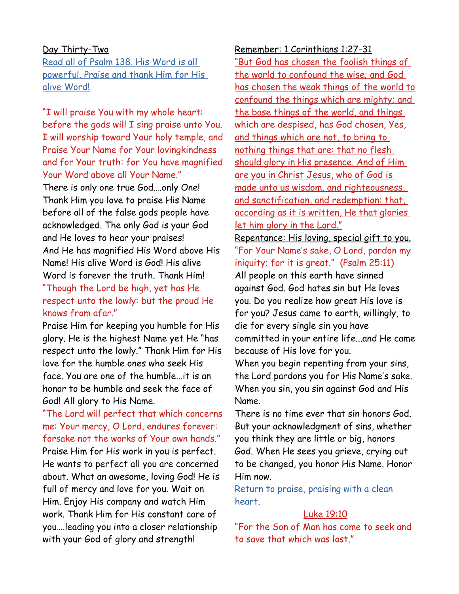#### Day Thirty-Two

Read all of Psalm 138. His Word is all powerful. Praise and thank Him for His alive Word!

"I will praise You with my whole heart: before the gods will I sing praise unto You. I will worship toward Your holy temple, and Praise Your Name for Your lovingkindness and for Your truth: for You have magnified Your Word above all Your Name."

There is only one true God….only One! Thank Him you love to praise His Name before all of the false gods people have acknowledged. The only God is your God and He loves to hear your praises! And He has magnified His Word above His Name! His alive Word is God! His alive Word is forever the truth. Thank Him! "Though the Lord be high, yet has He respect unto the lowly: but the proud He knows from afar."

Praise Him for keeping you humble for His glory. He is the highest Name yet He "has respect unto the lowly." Thank Him for His love for the humble ones who seek His face. You are one of the humble...it is an honor to be humble and seek the face of God! All glory to His Name.

"The Lord will perfect that which concerns me: Your mercy, O Lord, endures forever: forsake not the works of Your own hands." Praise Him for His work in you is perfect. He wants to perfect all you are concerned about. What an awesome, loving God! He is full of mercy and love for you. Wait on Him. Enjoy His company and watch Him work. Thank Him for His constant care of you….leading you into a closer relationship with your God of glory and strength!

Remember: 1 Corinthians 1:27-31 "But God has chosen the foolish things of the world to confound the wise; and God has chosen the weak things of the world to confound the things which are mighty; and the base things of the world, and things which are despised, has God chosen, Yes, and things which are not, to bring to nothing things that are: that no flesh should glory in His presence. And of Him are you in Christ Jesus, who of God is made unto us wisdom, and righteousness, and sanctification, and redemption: that, according as it is written, He that glories let him glory in the Lord." Repentance: His loving, special gift to you. "For Your Name's sake, O Lord, pardon my iniquity; for it is great." (Psalm 25:11)

All people on this earth have sinned against God. God hates sin but He loves you. Do you realize how great His love is for you? Jesus came to earth, willingly, to die for every single sin you have committed in your entire life...and He came because of His love for you.

When you begin repenting from your sins, the Lord pardons you for His Name's sake. When you sin, you sin against God and His Name.

There is no time ever that sin honors God. But your acknowledgment of sins, whether you think they are little or big, honors God. When He sees you grieve, crying out to be changed, you honor His Name. Honor Him now.

Return to praise, praising with a clean heart.

#### Luke 19:10

"For the Son of Man has come to seek and to save that which was lost."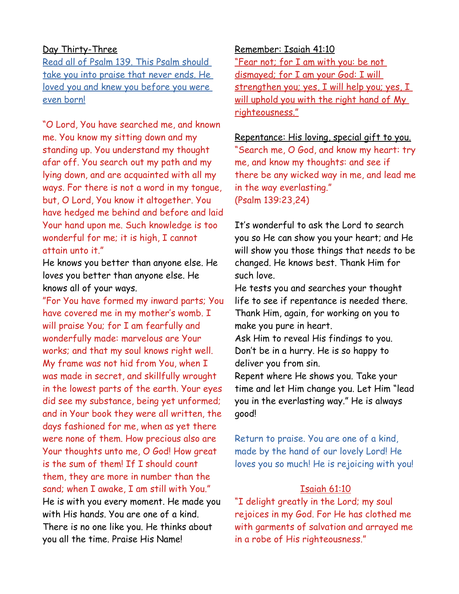### Day Thirty-Three

Read all of Psalm 139. This Psalm should take you into praise that never ends. He loved you and knew you before you were even born!

"O Lord, You have searched me, and known me. You know my sitting down and my standing up. You understand my thought afar off. You search out my path and my lying down, and are acquainted with all my ways. For there is not a word in my tongue, but, O Lord, You know it altogether. You have hedged me behind and before and laid Your hand upon me. Such knowledge is too wonderful for me; it is high, I cannot attain unto it."

He knows you better than anyone else. He loves you better than anyone else. He knows all of your ways.

"For You have formed my inward parts; You have covered me in my mother's womb. I will praise You; for I am fearfully and wonderfully made: marvelous are Your works; and that my soul knows right well. My frame was not hid from You, when I was made in secret, and skillfully wrought in the lowest parts of the earth. Your eyes did see my substance, being yet unformed; and in Your book they were all written, the days fashioned for me, when as yet there were none of them. How precious also are Your thoughts unto me, O God! How great is the sum of them! If I should count them, they are more in number than the sand; when I awake, I am still with You." He is with you every moment. He made you with His hands. You are one of a kind. There is no one like you. He thinks about you all the time. Praise His Name!

#### Remember: Isaiah 41:10

"Fear not; for I am with you: be not dismayed; for I am your God: I will strengthen you; yes, I will help you; yes, I will uphold you with the right hand of My righteousness."

# Repentance: His loving, special gift to you.

"Search me, O God, and know my heart: try me, and know my thoughts: and see if there be any wicked way in me, and lead me in the way everlasting." (Psalm 139:23,24)

It's wonderful to ask the Lord to search you so He can show you your heart; and He will show you those things that needs to be changed. He knows best. Thank Him for such love.

He tests you and searches your thought life to see if repentance is needed there. Thank Him, again, for working on you to make you pure in heart.

Ask Him to reveal His findings to you. Don't be in a hurry. He is so happy to deliver you from sin.

Repent where He shows you. Take your time and let Him change you. Let Him "lead you in the everlasting way." He is always good!

Return to praise. You are one of a kind, made by the hand of our lovely Lord! He loves you so much! He is rejoicing with you!

### Isaiah 61:10

"I delight greatly in the Lord; my soul rejoices in my God. For He has clothed me with garments of salvation and arrayed me in a robe of His righteousness."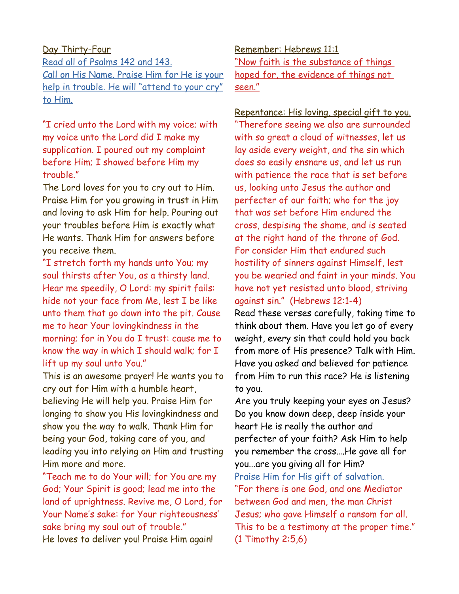# Day Thirty-Four

Read all of Psalms 142 and 143. Call on His Name. Praise Him for He is your help in trouble. He will "attend to your cry" to Him.

"I cried unto the Lord with my voice; with my voice unto the Lord did I make my supplication. I poured out my complaint before Him; I showed before Him my trouble."

The Lord loves for you to cry out to Him. Praise Him for you growing in trust in Him and loving to ask Him for help. Pouring out your troubles before Him is exactly what He wants. Thank Him for answers before you receive them.

"I stretch forth my hands unto You; my soul thirsts after You, as a thirsty land. Hear me speedily, O Lord: my spirit fails: hide not your face from Me, lest I be like unto them that go down into the pit. Cause me to hear Your lovingkindness in the morning; for in You do I trust: cause me to know the way in which I should walk; for I lift up my soul unto You."

This is an awesome prayer! He wants you to cry out for Him with a humble heart, believing He will help you. Praise Him for longing to show you His lovingkindness and show you the way to walk. Thank Him for being your God, taking care of you, and leading you into relying on Him and trusting Him more and more.

"Teach me to do Your will; for You are my God; Your Spirit is good; lead me into the land of uprightness. Revive me, O Lord, for Your Name's sake: for Your righteousness' sake bring my soul out of trouble." He loves to deliver you! Praise Him again!

Remember: Hebrews 11:1 "Now faith is the substance of things hoped for, the evidence of things not seen."

Repentance: His loving, special gift to you.

"Therefore seeing we also are surrounded with so great a cloud of witnesses, let us lay aside every weight, and the sin which does so easily ensnare us, and let us run with patience the race that is set before us, looking unto Jesus the author and perfecter of our faith; who for the joy that was set before Him endured the cross, despising the shame, and is seated at the right hand of the throne of God. For consider Him that endured such hostility of sinners against Himself, lest you be wearied and faint in your minds. You have not yet resisted unto blood, striving against sin." (Hebrews 12:1-4)

Read these verses carefully, taking time to think about them. Have you let go of every weight, every sin that could hold you back from more of His presence? Talk with Him. Have you asked and believed for patience from Him to run this race? He is listening to you.

Are you truly keeping your eyes on Jesus? Do you know down deep, deep inside your heart He is really the author and perfecter of your faith? Ask Him to help you remember the cross….He gave all for you...are you giving all for Him? Praise Him for His gift of salvation. "For there is one God, and one Mediator between God and men, the man Christ Jesus; who gave Himself a ransom for all. This to be a testimony at the proper time." (1 Timothy 2:5,6)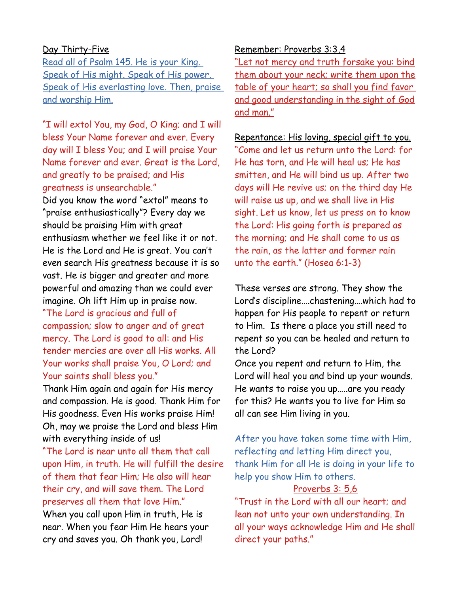### Day Thirty-Five

Read all of Psalm 145. He is your King. Speak of His might. Speak of His power. Speak of His everlasting love. Then, praise and worship Him.

"I will extol You, my God, O King; and I will bless Your Name forever and ever. Every day will I bless You; and I will praise Your Name forever and ever. Great is the Lord, and greatly to be praised; and His greatness is unsearchable." Did you know the word "extol" means to "praise enthusiastically"? Every day we should be praising Him with great enthusiasm whether we feel like it or not. He is the Lord and He is great. You can't even search His greatness because it is so vast. He is bigger and greater and more powerful and amazing than we could ever imagine. Oh lift Him up in praise now. "The Lord is gracious and full of

compassion; slow to anger and of great mercy. The Lord is good to all: and His tender mercies are over all His works. All Your works shall praise You, O Lord; and Your saints shall bless you."

Thank Him again and again for His mercy and compassion. He is good. Thank Him for His goodness. Even His works praise Him! Oh, may we praise the Lord and bless Him with everything inside of us!

"The Lord is near unto all them that call upon Him, in truth. He will fulfill the desire of them that fear Him; He also will hear their cry, and will save them. The Lord preserves all them that love Him."

When you call upon Him in truth, He is near. When you fear Him He hears your cry and saves you. Oh thank you, Lord!

#### Remember: Proverbs 3:3,4

"Let not mercy and truth forsake you: bind them about your neck; write them upon the table of your heart; so shall you find favor and good understanding in the sight of God and man."

#### Repentance: His loving, special gift to you.

"Come and let us return unto the Lord: for He has torn, and He will heal us; He has smitten, and He will bind us up. After two days will He revive us; on the third day He will raise us up, and we shall live in His sight. Let us know, let us press on to know the Lord: His going forth is prepared as the morning; and He shall come to us as the rain, as the latter and former rain unto the earth." (Hosea 6:1-3)

These verses are strong. They show the Lord's discipline….chastening….which had to happen for His people to repent or return to Him. Is there a place you still need to repent so you can be healed and return to the Lord?

Once you repent and return to Him, the Lord will heal you and bind up your wounds. He wants to raise you up…..are you ready for this? He wants you to live for Him so all can see Him living in you.

After you have taken some time with Him, reflecting and letting Him direct you, thank Him for all He is doing in your life to help you show Him to others.

#### Proverbs 3: 5,6

"Trust in the Lord with all our heart; and lean not unto your own understanding. In all your ways acknowledge Him and He shall direct your paths."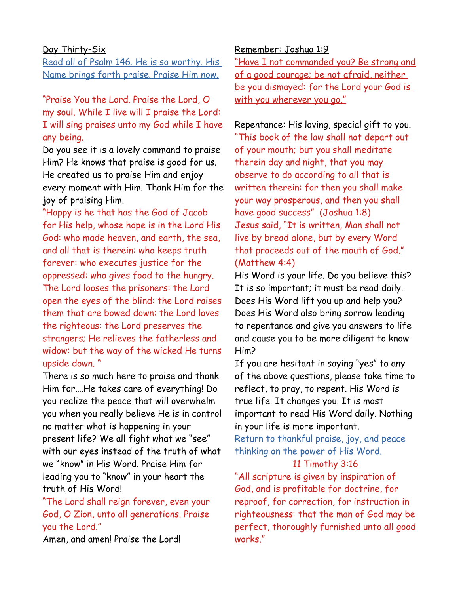#### Day Thirty-Six

Read all of Psalm 146. He is so worthy. His Name brings forth praise. Praise Him now.

"Praise You the Lord. Praise the Lord, O my soul. While I live will I praise the Lord: I will sing praises unto my God while I have any being.

Do you see it is a lovely command to praise Him? He knows that praise is good for us. He created us to praise Him and enjoy every moment with Him. Thank Him for the joy of praising Him.

"Happy is he that has the God of Jacob for His help, whose hope is in the Lord His God: who made heaven, and earth, the sea, and all that is therein: who keeps truth forever: who executes justice for the oppressed: who gives food to the hungry. The Lord looses the prisoners: the Lord open the eyes of the blind: the Lord raises them that are bowed down: the Lord loves the righteous: the Lord preserves the strangers; He relieves the fatherless and widow: but the way of the wicked He turns upside down. "

There is so much here to praise and thank Him for….He takes care of everything! Do you realize the peace that will overwhelm you when you really believe He is in control no matter what is happening in your present life? We all fight what we "see" with our eyes instead of the truth of what we "know" in His Word. Praise Him for leading you to "know" in your heart the truth of His Word!

"The Lord shall reign forever, even your God, O Zion, unto all generations. Praise you the Lord."

Amen, and amen! Praise the Lord!

#### Remember: Joshua 1:9

"Have I not commanded you? Be strong and of a good courage; be not afraid, neither be you dismayed: for the Lord your God is with you wherever you go."

### Repentance: His loving, special gift to you.

"This book of the law shall not depart out of your mouth; but you shall meditate therein day and night, that you may observe to do according to all that is written therein: for then you shall make your way prosperous, and then you shall have good success" (Joshua 1:8) Jesus said, "It is written, Man shall not live by bread alone, but by every Word that proceeds out of the mouth of God." (Matthew 4:4)

His Word is your life. Do you believe this? It is so important; it must be read daily. Does His Word lift you up and help you? Does His Word also bring sorrow leading to repentance and give you answers to life and cause you to be more diligent to know Him?

If you are hesitant in saying "yes" to any of the above questions, please take time to reflect, to pray, to repent. His Word is true life. It changes you. It is most important to read His Word daily. Nothing in your life is more important.

Return to thankful praise, joy, and peace thinking on the power of His Word.

#### 11 Timothy 3:16

"All scripture is given by inspiration of God, and is profitable for doctrine, for reproof, for correction, for instruction in righteousness: that the man of God may be perfect, thoroughly furnished unto all good works."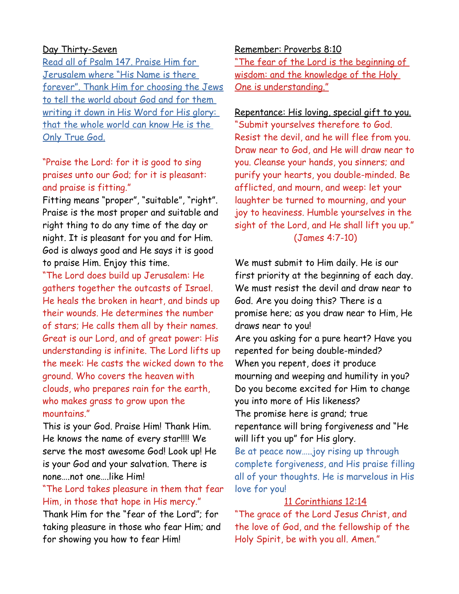### Day Thirty-Seven

Read all of Psalm 147. Praise Him for Jerusalem where "His Name is there forever". Thank Him for choosing the Jews to tell the world about God and for them writing it down in His Word for His glory: that the whole world can know He is the Only True God.

"Praise the Lord: for it is good to sing praises unto our God; for it is pleasant: and praise is fitting."

Fitting means "proper", "suitable", "right". Praise is the most proper and suitable and right thing to do any time of the day or night. It is pleasant for you and for Him. God is always good and He says it is good to praise Him. Enjoy this time.

"The Lord does build up Jerusalem: He gathers together the outcasts of Israel. He heals the broken in heart, and binds up their wounds. He determines the number of stars; He calls them all by their names. Great is our Lord, and of great power: His understanding is infinite. The Lord lifts up the meek: He casts the wicked down to the ground. Who covers the heaven with clouds, who prepares rain for the earth, who makes grass to grow upon the mountains."

This is your God. Praise Him! Thank Him. He knows the name of every star!!!! We serve the most awesome God! Look up! He is your God and your salvation. There is none….not one….like Him!

### "The Lord takes pleasure in them that fear Him, in those that hope in His mercy."

Thank Him for the "fear of the Lord"; for taking pleasure in those who fear Him; and for showing you how to fear Him!

Remember: Proverbs 8:10

"The fear of the Lord is the beginning of wisdom: and the knowledge of the Holy One is understanding."

Repentance: His loving, special gift to you. "Submit yourselves therefore to God. Resist the devil, and he will flee from you. Draw near to God, and He will draw near to you. Cleanse your hands, you sinners; and purify your hearts, you double-minded. Be afflicted, and mourn, and weep: let your laughter be turned to mourning, and your joy to heaviness. Humble yourselves in the sight of the Lord, and He shall lift you up." (James 4:7-10)

We must submit to Him daily. He is our first priority at the beginning of each day. We must resist the devil and draw near to God. Are you doing this? There is a promise here; as you draw near to Him, He draws near to you!

Are you asking for a pure heart? Have you repented for being double-minded? When you repent, does it produce mourning and weeping and humility in you? Do you become excited for Him to change you into more of His likeness? The promise here is grand; true

repentance will bring forgiveness and "He will lift you up" for His glory.

Be at peace now…..joy rising up through complete forgiveness, and His praise filling all of your thoughts. He is marvelous in His love for you!

### 11 Corinthians 12:14

"The grace of the Lord Jesus Christ, and the love of God, and the fellowship of the Holy Spirit, be with you all. Amen."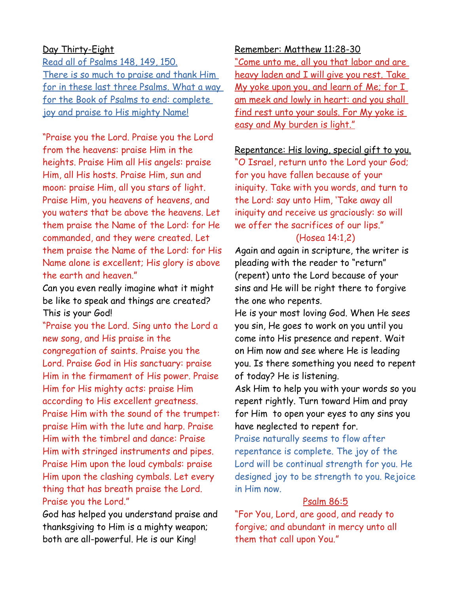### Day Thirty-Eight

Read all of Psalms 148, 149, 150. There is so much to praise and thank Him for in these last three Psalms. What a way for the Book of Psalms to end: complete joy and praise to His mighty Name!

"Praise you the Lord. Praise you the Lord from the heavens: praise Him in the heights. Praise Him all His angels: praise Him, all His hosts. Praise Him, sun and moon: praise Him, all you stars of light. Praise Him, you heavens of heavens, and you waters that be above the heavens. Let them praise the Name of the Lord: for He commanded, and they were created. Let them praise the Name of the Lord: for His Name alone is excellent; His glory is above the earth and heaven."

Can you even really imagine what it might be like to speak and things are created? This is your God!

"Praise you the Lord. Sing unto the Lord a new song, and His praise in the congregation of saints. Praise you the Lord. Praise God in His sanctuary: praise Him in the firmament of His power. Praise Him for His mighty acts: praise Him according to His excellent greatness. Praise Him with the sound of the trumpet: praise Him with the lute and harp. Praise Him with the timbrel and dance: Praise Him with stringed instruments and pipes. Praise Him upon the loud cymbals: praise Him upon the clashing cymbals. Let every thing that has breath praise the Lord. Praise you the Lord."

God has helped you understand praise and thanksgiving to Him is a mighty weapon; both are all-powerful. He is our King!

#### Remember: Matthew 11:28-30

"Come unto me, all you that labor and are heavy laden and I will give you rest. Take My yoke upon you, and learn of Me; for I am meek and lowly in heart: and you shall find rest unto your souls. For My yoke is easy and My burden is light."

#### Repentance: His loving, special gift to you.

"O Israel, return unto the Lord your God; for you have fallen because of your iniquity. Take with you words, and turn to the Lord: say unto Him, 'Take away all iniquity and receive us graciously: so will we offer the sacrifices of our lips."

### (Hosea 14:1,2)

Again and again in scripture, the writer is pleading with the reader to "return" (repent) unto the Lord because of your sins and He will be right there to forgive the one who repents.

He is your most loving God. When He sees you sin, He goes to work on you until you come into His presence and repent. Wait on Him now and see where He is leading you. Is there something you need to repent of today? He is listening.

Ask Him to help you with your words so you repent rightly. Turn toward Him and pray for Him to open your eyes to any sins you have neglected to repent for.

Praise naturally seems to flow after repentance is complete. The joy of the Lord will be continual strength for you. He designed joy to be strength to you. Rejoice in Him now.

### Psalm 86:5

"For You, Lord, are good, and ready to forgive; and abundant in mercy unto all them that call upon You."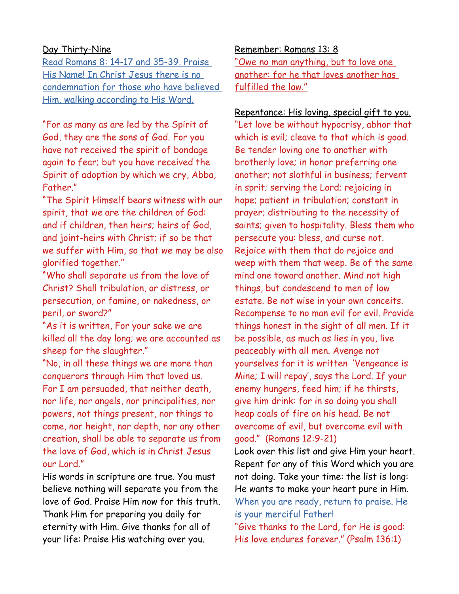### Day Thirty-Nine

 Read Romans 8: 14-17 and 35-39 . Praise His Name! In Christ Jesus there is no condemnation for those who have believed Him, walking according to His Word.

"For as many as are led by the Spirit of God, they are the sons of God. For you have not received the spirit of bondage again to fear; but you have received the Spirit of adoption by which we cry, Abba, Father."

"The Spirit Himself bears witness with our spirit, that we are the children of God: and if children, then heirs; heirs of God, and joint-heirs with Christ; if so be that we suffer with Him, so that we may be also glorified together."

"Who shall separate us from the love of Christ? Shall tribulation, or distress, or persecution, or famine, or nakedness, or peril, or sword?"

"As it is written, For your sake we are killed all the day long; we are accounted as sheep for the slaughter."

"No, in all these things we are more than conquerors through Him that loved us. For I am persuaded, that neither death, nor life, nor angels, nor principalities, nor powers, not things present, nor things to come, nor height, nor depth, nor any other creation, shall be able to separate us from the love of God, which is in Christ Jesus our Lord."

His words in scripture are true. You must believe nothing will separate you from the love of God. Praise Him now for this truth. Thank Him for preparing you daily for eternity with Him. Give thanks for all of your life: Praise His watching over you.

Remember: Romans 13: 8 "Owe no man anything, but to love one another: for he that loves another has fulfilled the law."

Repentance: His loving, special gift to you. "Let love be without hypocrisy, abhor that which is evil; cleave to that which is good. Be tender loving one to another with brotherly love; in honor preferring one another; not slothful in business; fervent in sprit; serving the Lord; rejoicing in hope; patient in tribulation; constant in prayer; distributing to the necessity of saints; given to hospitality. Bless them who persecute you: bless, and curse not. Rejoice with them that do rejoice and weep with them that weep. Be of the same mind one toward another. Mind not high things, but condescend to men of low estate. Be not wise in your own conceits. Recompense to no man evil for evil. Provide things honest in the sight of all men. If it be possible, as much as lies in you, live peaceably with all men. Avenge not yourselves for it is written 'Vengeance is Mine; I will repay', says the Lord. If your enemy hungers, feed him; if he thirsts, give him drink: for in so doing you shall heap coals of fire on his head. Be not overcome of evil, but overcome evil with good." (Romans 12:9-21)

Look over this list and give Him your heart. Repent for any of this Word which you are not doing. Take your time: the list is long: He wants to make your heart pure in Him. When you are ready, return to praise. He is your merciful Father!

"Give thanks to the Lord, for He is good: His love endures forever." (Psalm 136:1)